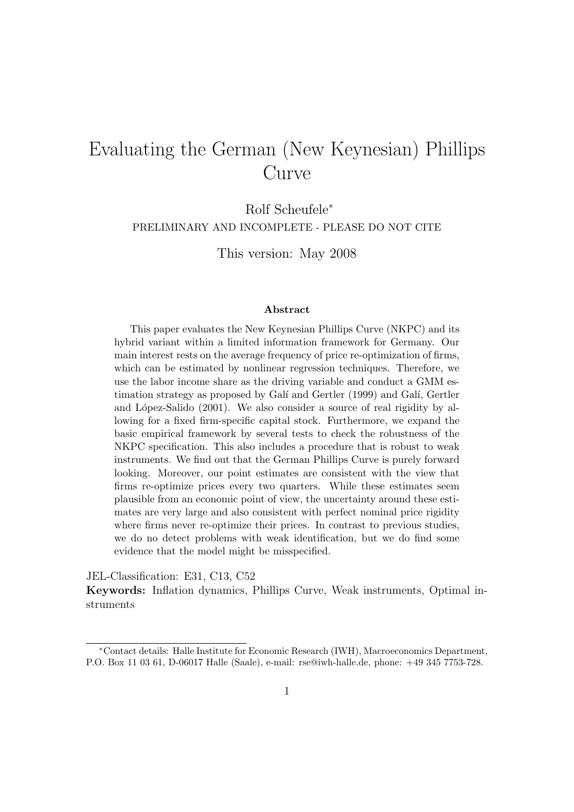## Evaluating the German (New Keynesian) Phillips Curve

Rolf Scheufele<sup>∗</sup>

PRELIMINARY AND INCOMPLETE - PLEASE DO NOT CITE

This version: May 2008

#### Abstract

This paper evaluates the New Keynesian Phillips Curve (NKPC) and its hybrid variant within a limited information framework for Germany. Our main interest rests on the average frequency of price re-optimization of firms, which can be estimated by nonlinear regression techniques. Therefore, we use the labor income share as the driving variable and conduct a GMM estimation strategy as proposed by Galí and Gertler (1999) and Galí, Gertler and López-Salido (2001). We also consider a source of real rigidity by allowing for a fixed firm-specific capital stock. Furthermore, we expand the basic empirical framework by several tests to check the robustness of the NKPC specification. This also includes a procedure that is robust to weak instruments. We find out that the German Phillips Curve is purely forward looking. Moreover, our point estimates are consistent with the view that firms re-optimize prices every two quarters. While these estimates seem plausible from an economic point of view, the uncertainty around these estimates are very large and also consistent with perfect nominal price rigidity where firms never re-optimize their prices. In contrast to previous studies, we do no detect problems with weak identification, but we do find some evidence that the model might be misspecified.

JEL-Classification: E31, C13, C52

Keywords: Inflation dynamics, Phillips Curve, Weak instruments, Optimal instruments

<sup>∗</sup>Contact details: Halle Institute for Economic Research (IWH), Macroeconomics Department, P.O. Box 11 03 61, D-06017 Halle (Saale), e-mail: rse@iwh-halle.de, phone: +49 345 7753-728.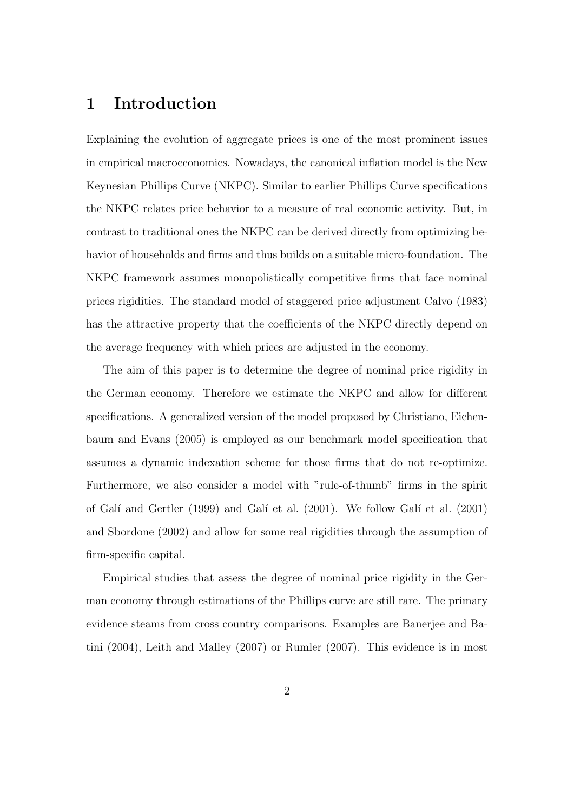## 1 Introduction

Explaining the evolution of aggregate prices is one of the most prominent issues in empirical macroeconomics. Nowadays, the canonical inflation model is the New Keynesian Phillips Curve (NKPC). Similar to earlier Phillips Curve specifications the NKPC relates price behavior to a measure of real economic activity. But, in contrast to traditional ones the NKPC can be derived directly from optimizing behavior of households and firms and thus builds on a suitable micro-foundation. The NKPC framework assumes monopolistically competitive firms that face nominal prices rigidities. The standard model of staggered price adjustment Calvo (1983) has the attractive property that the coefficients of the NKPC directly depend on the average frequency with which prices are adjusted in the economy.

The aim of this paper is to determine the degree of nominal price rigidity in the German economy. Therefore we estimate the NKPC and allow for different specifications. A generalized version of the model proposed by Christiano, Eichenbaum and Evans (2005) is employed as our benchmark model specification that assumes a dynamic indexation scheme for those firms that do not re-optimize. Furthermore, we also consider a model with "rule-of-thumb" firms in the spirit of Galí and Gertler (1999) and Galí et al. (2001). We follow Galí et al. (2001) and Sbordone (2002) and allow for some real rigidities through the assumption of firm-specific capital.

Empirical studies that assess the degree of nominal price rigidity in the German economy through estimations of the Phillips curve are still rare. The primary evidence steams from cross country comparisons. Examples are Banerjee and Batini (2004), Leith and Malley (2007) or Rumler (2007). This evidence is in most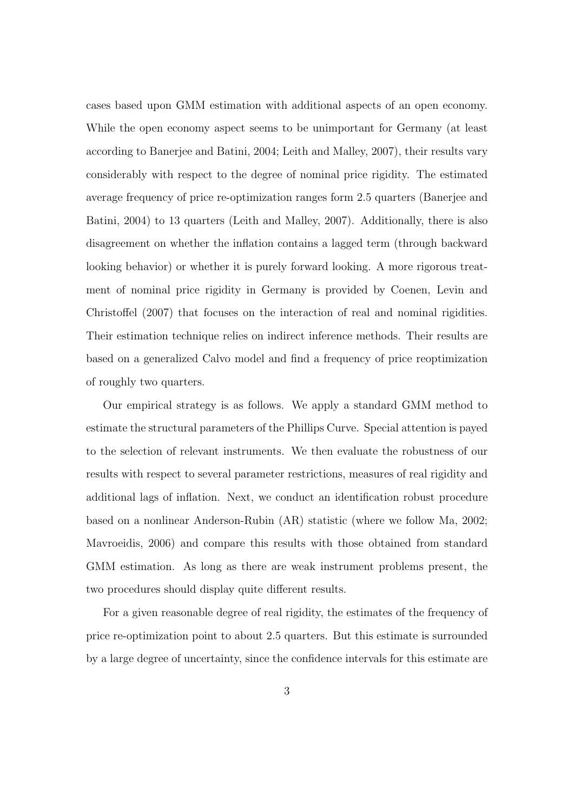cases based upon GMM estimation with additional aspects of an open economy. While the open economy aspect seems to be unimportant for Germany (at least according to Banerjee and Batini, 2004; Leith and Malley, 2007), their results vary considerably with respect to the degree of nominal price rigidity. The estimated average frequency of price re-optimization ranges form 2.5 quarters (Banerjee and Batini, 2004) to 13 quarters (Leith and Malley, 2007). Additionally, there is also disagreement on whether the inflation contains a lagged term (through backward looking behavior) or whether it is purely forward looking. A more rigorous treatment of nominal price rigidity in Germany is provided by Coenen, Levin and Christoffel (2007) that focuses on the interaction of real and nominal rigidities. Their estimation technique relies on indirect inference methods. Their results are based on a generalized Calvo model and find a frequency of price reoptimization of roughly two quarters.

Our empirical strategy is as follows. We apply a standard GMM method to estimate the structural parameters of the Phillips Curve. Special attention is payed to the selection of relevant instruments. We then evaluate the robustness of our results with respect to several parameter restrictions, measures of real rigidity and additional lags of inflation. Next, we conduct an identification robust procedure based on a nonlinear Anderson-Rubin (AR) statistic (where we follow Ma, 2002; Mavroeidis, 2006) and compare this results with those obtained from standard GMM estimation. As long as there are weak instrument problems present, the two procedures should display quite different results.

For a given reasonable degree of real rigidity, the estimates of the frequency of price re-optimization point to about 2.5 quarters. But this estimate is surrounded by a large degree of uncertainty, since the confidence intervals for this estimate are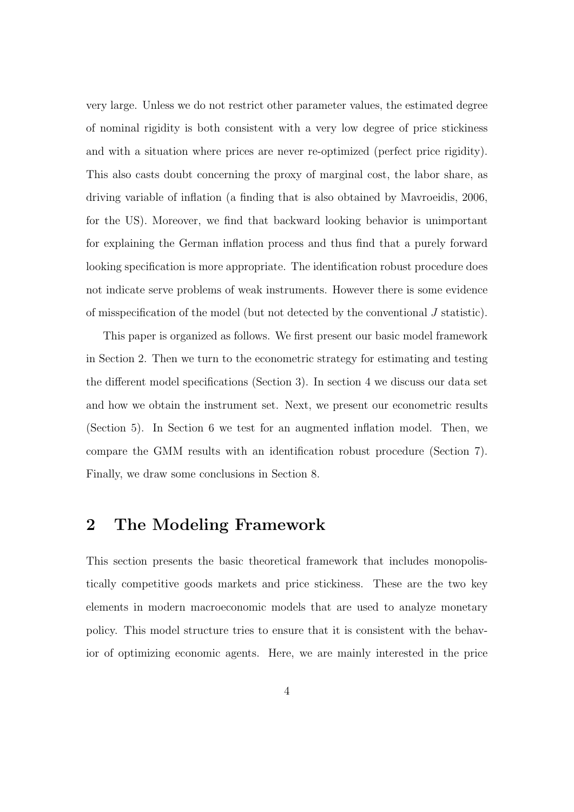very large. Unless we do not restrict other parameter values, the estimated degree of nominal rigidity is both consistent with a very low degree of price stickiness and with a situation where prices are never re-optimized (perfect price rigidity). This also casts doubt concerning the proxy of marginal cost, the labor share, as driving variable of inflation (a finding that is also obtained by Mavroeidis, 2006, for the US). Moreover, we find that backward looking behavior is unimportant for explaining the German inflation process and thus find that a purely forward looking specification is more appropriate. The identification robust procedure does not indicate serve problems of weak instruments. However there is some evidence of misspecification of the model (but not detected by the conventional J statistic).

This paper is organized as follows. We first present our basic model framework in Section 2. Then we turn to the econometric strategy for estimating and testing the different model specifications (Section 3). In section 4 we discuss our data set and how we obtain the instrument set. Next, we present our econometric results (Section 5). In Section 6 we test for an augmented inflation model. Then, we compare the GMM results with an identification robust procedure (Section 7). Finally, we draw some conclusions in Section 8.

#### 2 The Modeling Framework

This section presents the basic theoretical framework that includes monopolistically competitive goods markets and price stickiness. These are the two key elements in modern macroeconomic models that are used to analyze monetary policy. This model structure tries to ensure that it is consistent with the behavior of optimizing economic agents. Here, we are mainly interested in the price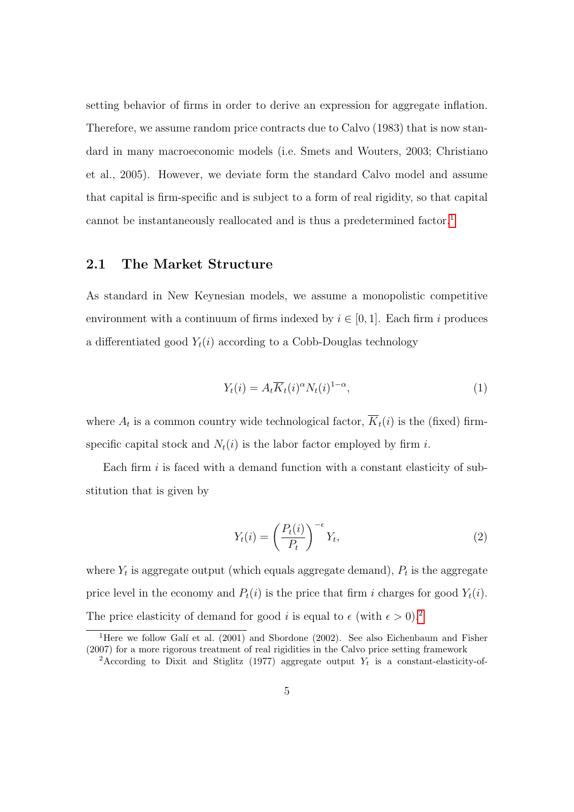setting behavior of firms in order to derive an expression for aggregate inflation. Therefore, we assume random price contracts due to Calvo (1983) that is now standard in many macroeconomic models (i.e. Smets and Wouters, 2003; Christiano et al., 2005). However, we deviate form the standard Calvo model and assume that capital is firm-specific and is subject to a form of real rigidity, so that capital cannot be instantaneously reallocated and is thus a predetermined factor.<sup>[1](#page-4-0)</sup>

#### 2.1 The Market Structure

As standard in New Keynesian models, we assume a monopolistic competitive environment with a continuum of firms indexed by  $i \in [0, 1]$ . Each firm i produces a differentiated good  $Y_t(i)$  according to a Cobb-Douglas technology

<span id="page-4-3"></span>
$$
Y_t(i) = A_t \overline{K}_t(i)^{\alpha} N_t(i)^{1-\alpha}, \qquad (1)
$$

where  $A_t$  is a common country wide technological factor,  $K_t(i)$  is the (fixed) firmspecific capital stock and  $N_t(i)$  is the labor factor employed by firm i.

Each firm  $i$  is faced with a demand function with a constant elasticity of substitution that is given by

<span id="page-4-2"></span>
$$
Y_t(i) = \left(\frac{P_t(i)}{P_t}\right)^{-\epsilon} Y_t,
$$
\n(2)

where  $Y_t$  is aggregate output (which equals aggregate demand),  $P_t$  is the aggregate price level in the economy and  $P_t(i)$  is the price that firm i charges for good  $Y_t(i)$ . The price elasticity of demand for good i is equal to  $\epsilon$  (with  $\epsilon > 0$ ).<sup>[2](#page-4-1)</sup>

<span id="page-4-0"></span><sup>&</sup>lt;sup>1</sup>Here we follow Galí et al. (2001) and Sbordone (2002). See also Eichenbaum and Fisher (2007) for a more rigorous treatment of real rigidities in the Calvo price setting framework

<span id="page-4-1"></span><sup>&</sup>lt;sup>2</sup>According to Dixit and Stiglitz (1977) aggregate output  $Y_t$  is a constant-elasticity-of-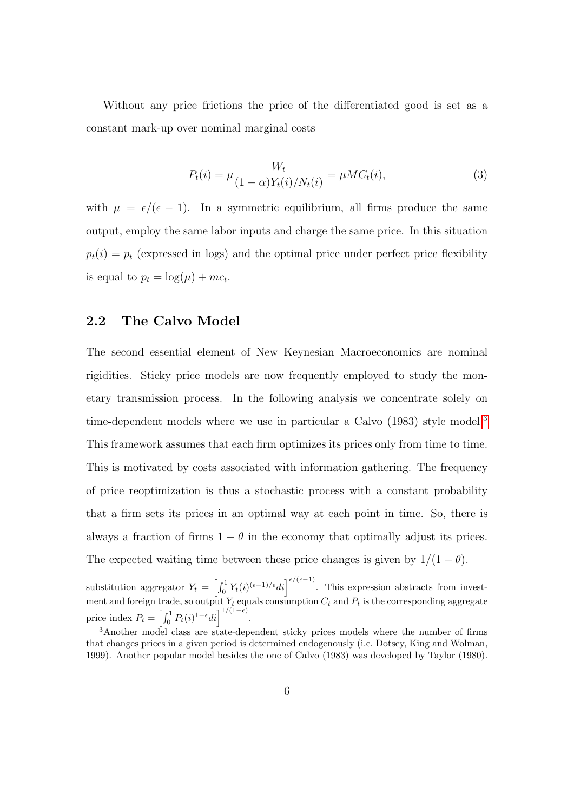Without any price frictions the price of the differentiated good is set as a constant mark-up over nominal marginal costs

$$
P_t(i) = \mu \frac{W_t}{(1 - \alpha)Y_t(i)/N_t(i)} = \mu M C_t(i),
$$
\n(3)

with  $\mu = \epsilon/(\epsilon - 1)$ . In a symmetric equilibrium, all firms produce the same output, employ the same labor inputs and charge the same price. In this situation  $p_t(i) = p_t$  (expressed in logs) and the optimal price under perfect price flexibility is equal to  $p_t = \log(\mu) + mc_t$ .

#### <span id="page-5-1"></span>2.2 The Calvo Model

The second essential element of New Keynesian Macroeconomics are nominal rigidities. Sticky price models are now frequently employed to study the monetary transmission process. In the following analysis we concentrate solely on time-dependent models where we use in particular a Calvo (198[3](#page-5-0)) style model.<sup>3</sup> This framework assumes that each firm optimizes its prices only from time to time. This is motivated by costs associated with information gathering. The frequency of price reoptimization is thus a stochastic process with a constant probability that a firm sets its prices in an optimal way at each point in time. So, there is always a fraction of firms  $1 - \theta$  in the economy that optimally adjust its prices. The expected waiting time between these price changes is given by  $1/(1 - \theta)$ .

substitution aggregator  $Y_t = \left[\int_0^1 Y_t(i)^{(\epsilon-1)/\epsilon} di\right]^{\epsilon/(\epsilon-1)}$ . This expression abstracts from investment and foreign trade, so output  $Y_t$  equals consumption  $C_t$  and  $P_t$  is the corresponding aggregate price index  $P_t = \left[\int_0^1 P_t(i)^{1-\epsilon} di\right]^{1/(1-\epsilon)}$ .

<span id="page-5-0"></span><sup>3</sup>Another model class are state-dependent sticky prices models where the number of firms that changes prices in a given period is determined endogenously (i.e. Dotsey, King and Wolman, 1999). Another popular model besides the one of Calvo (1983) was developed by Taylor (1980).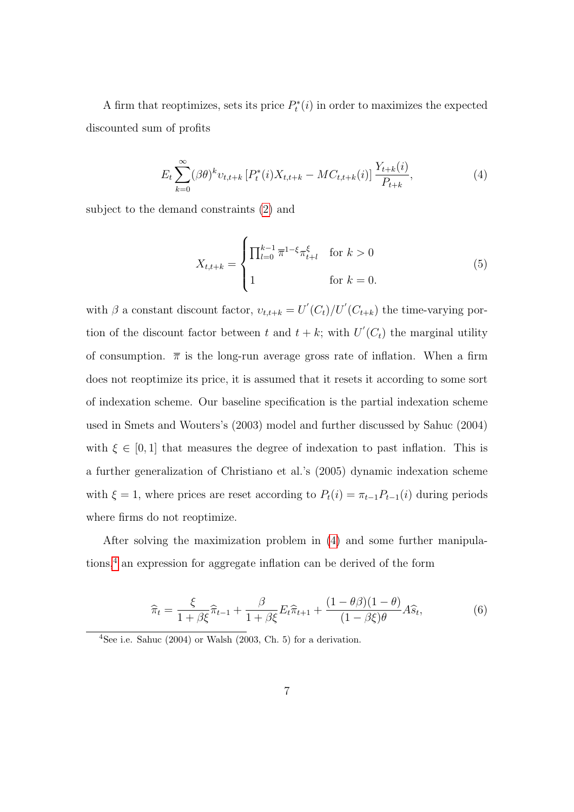A firm that reoptimizes, sets its price  $P_t^*(i)$  in order to maximizes the expected discounted sum of profits

<span id="page-6-0"></span>
$$
E_t \sum_{k=0}^{\infty} (\beta \theta)^k v_{t,t+k} \left[ P_t^*(i) X_{t,t+k} - M C_{t,t+k}(i) \right] \frac{Y_{t+k}(i)}{P_{t+k}}, \tag{4}
$$

subject to the demand constraints [\(2\)](#page-4-2) and

$$
X_{t,t+k} = \begin{cases} \prod_{l=0}^{k-1} \overline{\pi}^{1-\xi} \pi_{t+l}^{\xi} & \text{for } k > 0\\ 1 & \text{for } k = 0. \end{cases}
$$
 (5)

with  $\beta$  a constant discount factor,  $v_{t,t+k} = U'(C_t)/U'(C_{t+k})$  the time-varying portion of the discount factor between t and  $t + k$ ; with  $U'(C_t)$  the marginal utility of consumption.  $\bar{\pi}$  is the long-run average gross rate of inflation. When a firm does not reoptimize its price, it is assumed that it resets it according to some sort of indexation scheme. Our baseline specification is the partial indexation scheme used in Smets and Wouters's (2003) model and further discussed by Sahuc (2004) with  $\xi \in [0,1]$  that measures the degree of indexation to past inflation. This is a further generalization of Christiano et al.'s (2005) dynamic indexation scheme with  $\xi = 1$ , where prices are reset according to  $P_t(i) = \pi_{t-1}P_{t-1}(i)$  during periods where firms do not reoptimize.

After solving the maximization problem in [\(4\)](#page-6-0) and some further manipulations,[4](#page-6-1) an expression for aggregate inflation can be derived of the form

<span id="page-6-2"></span>
$$
\widehat{\pi}_t = \frac{\xi}{1 + \beta \xi} \widehat{\pi}_{t-1} + \frac{\beta}{1 + \beta \xi} E_t \widehat{\pi}_{t+1} + \frac{(1 - \theta \beta)(1 - \theta)}{(1 - \beta \xi)\theta} A \widehat{s}_t,\tag{6}
$$

<span id="page-6-1"></span> $4$ See i.e. Sahuc (2004) or Walsh (2003, Ch. 5) for a derivation.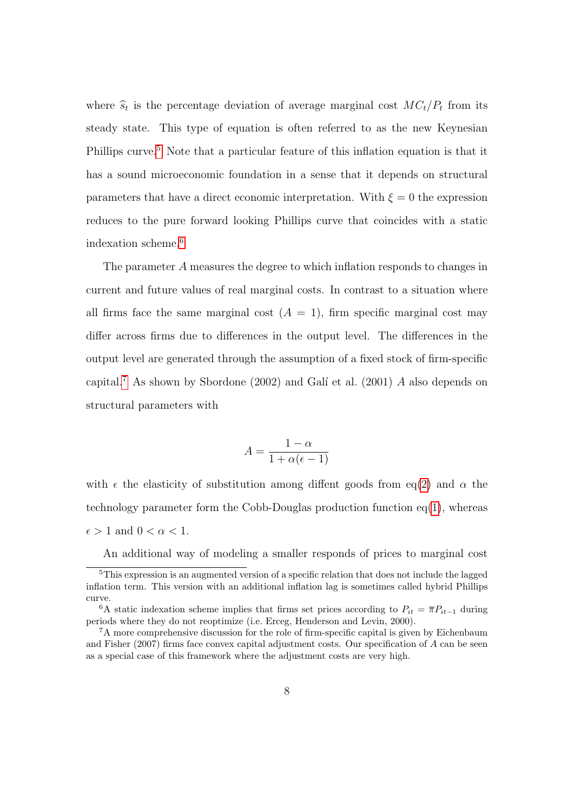where  $\hat{s}_t$  is the percentage deviation of average marginal cost  $MC_t/P_t$  from its steady state. This type of equation is often referred to as the new Keynesian Phillips curve.<sup>[5](#page-7-0)</sup> Note that a particular feature of this inflation equation is that it has a sound microeconomic foundation in a sense that it depends on structural parameters that have a direct economic interpretation. With  $\xi = 0$  the expression reduces to the pure forward looking Phillips curve that coincides with a static indexation scheme.[6](#page-7-1)

The parameter A measures the degree to which inflation responds to changes in current and future values of real marginal costs. In contrast to a situation where all firms face the same marginal cost  $(A = 1)$ , firm specific marginal cost may differ across firms due to differences in the output level. The differences in the output level are generated through the assumption of a fixed stock of firm-specific capital.<sup>[7](#page-7-2)</sup> As shown by Sbordone (2002) and Galí et al. (2001)  $A$  also depends on structural parameters with

$$
A = \frac{1 - \alpha}{1 + \alpha(\epsilon - 1)}
$$

with  $\epsilon$  the elasticity of substitution among diffent goods from eq[\(2\)](#page-4-2) and  $\alpha$  the technology parameter form the Cobb-Douglas production function  $eq(1)$  $eq(1)$ , whereas  $\epsilon > 1$  and  $0 < \alpha < 1$ .

An additional way of modeling a smaller responds of prices to marginal cost

<span id="page-7-0"></span><sup>&</sup>lt;sup>5</sup>This expression is an augmented version of a specific relation that does not include the lagged inflation term. This version with an additional inflation lag is sometimes called hybrid Phillips curve.

<span id="page-7-1"></span><sup>&</sup>lt;sup>6</sup>A static indexation scheme implies that firms set prices according to  $P_{it} = \overline{\pi} P_{it-1}$  during periods where they do not reoptimize (i.e. Erceg, Henderson and Levin, 2000).

<span id="page-7-2"></span><sup>&</sup>lt;sup>7</sup>A more comprehensive discussion for the role of firm-specific capital is given by Eichenbaum and Fisher (2007) firms face convex capital adjustment costs. Our specification of  $A$  can be seen as a special case of this framework where the adjustment costs are very high.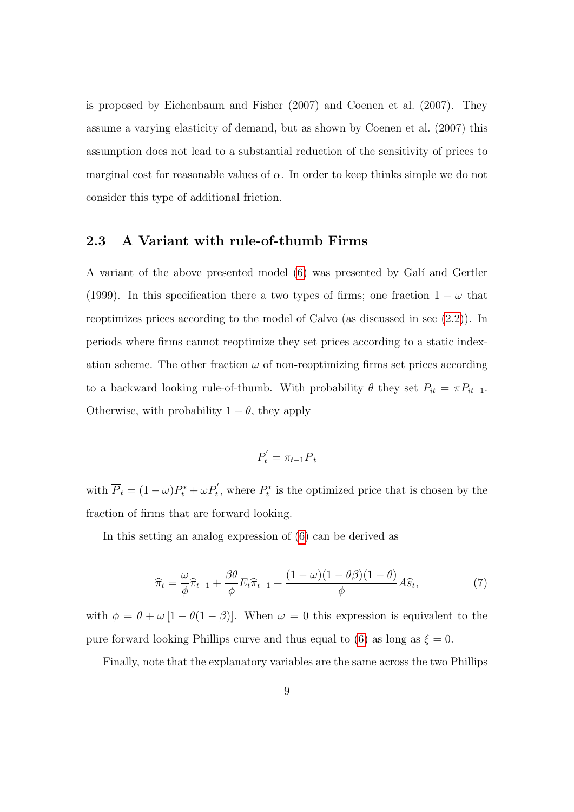is proposed by Eichenbaum and Fisher (2007) and Coenen et al. (2007). They assume a varying elasticity of demand, but as shown by Coenen et al. (2007) this assumption does not lead to a substantial reduction of the sensitivity of prices to marginal cost for reasonable values of  $\alpha$ . In order to keep thinks simple we do not consider this type of additional friction.

#### 2.3 A Variant with rule-of-thumb Firms

A variant of the above presented model [\(6\)](#page-6-2) was presented by Gal´ı and Gertler (1999). In this specification there a two types of firms; one fraction  $1 - \omega$  that reoptimizes prices according to the model of Calvo (as discussed in sec [\(2.2\)](#page-5-1)). In periods where firms cannot reoptimize they set prices according to a static indexation scheme. The other fraction  $\omega$  of non-reoptimizing firms set prices according to a backward looking rule-of-thumb. With probability  $\theta$  they set  $P_{it} = \overline{\pi}P_{it-1}$ . Otherwise, with probability  $1 - \theta$ , they apply

$$
P_t' = \pi_{t-1} \overline{P}_t
$$

with  $\overline{P}_t = (1 - \omega)P_t^* + \omega P_t'$ , where  $P_t^*$  is the optimized price that is chosen by the fraction of firms that are forward looking.

In this setting an analog expression of [\(6\)](#page-6-2) can be derived as

$$
\widehat{\pi}_t = \frac{\omega}{\phi} \widehat{\pi}_{t-1} + \frac{\beta \theta}{\phi} E_t \widehat{\pi}_{t+1} + \frac{(1 - \omega)(1 - \theta \beta)(1 - \theta)}{\phi} A \widehat{s}_t,\tag{7}
$$

with  $\phi = \theta + \omega [1 - \theta (1 - \beta)].$  When  $\omega = 0$  this expression is equivalent to the pure forward looking Phillips curve and thus equal to [\(6\)](#page-6-2) as long as  $\xi = 0$ .

Finally, note that the explanatory variables are the same across the two Phillips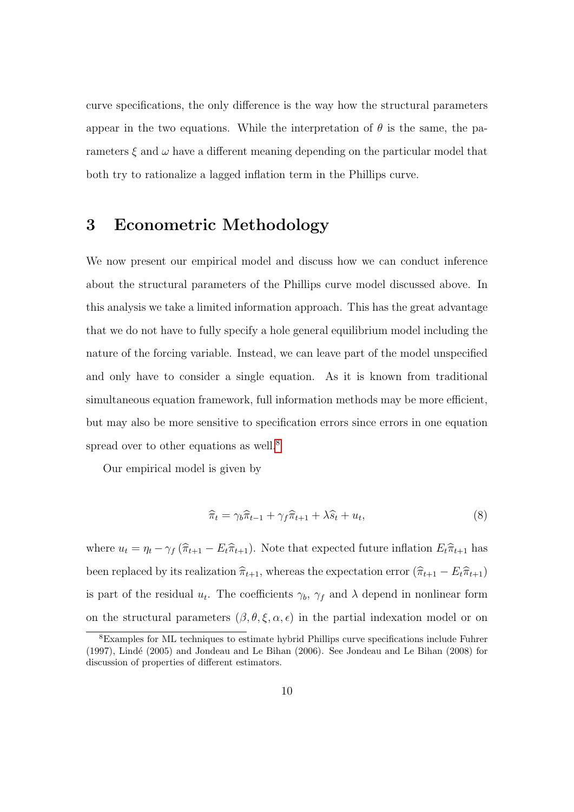curve specifications, the only difference is the way how the structural parameters appear in the two equations. While the interpretation of  $\theta$  is the same, the parameters  $\xi$  and  $\omega$  have a different meaning depending on the particular model that both try to rationalize a lagged inflation term in the Phillips curve.

#### 3 Econometric Methodology

We now present our empirical model and discuss how we can conduct inference about the structural parameters of the Phillips curve model discussed above. In this analysis we take a limited information approach. This has the great advantage that we do not have to fully specify a hole general equilibrium model including the nature of the forcing variable. Instead, we can leave part of the model unspecified and only have to consider a single equation. As it is known from traditional simultaneous equation framework, full information methods may be more efficient, but may also be more sensitive to specification errors since errors in one equation spread over to other equations as well.<sup>[8](#page-9-0)</sup>

Our empirical model is given by

$$
\widehat{\pi}_t = \gamma_b \widehat{\pi}_{t-1} + \gamma_f \widehat{\pi}_{t+1} + \lambda \widehat{s}_t + u_t, \tag{8}
$$

where  $u_t = \eta_t - \gamma_f (\widehat{\pi}_{t+1} - E_t \widehat{\pi}_{t+1})$ . Note that expected future inflation  $E_t \widehat{\pi}_{t+1}$  has been replaced by its realization  $\hat{\pi}_{t+1}$ , whereas the expectation error  $(\hat{\pi}_{t+1} - E_t\hat{\pi}_{t+1})$ is part of the residual  $u_t$ . The coefficients  $\gamma_b$ ,  $\gamma_f$  and  $\lambda$  depend in nonlinear form on the structural parameters  $(\beta, \theta, \xi, \alpha, \epsilon)$  in the partial indexation model or on

<span id="page-9-0"></span><sup>8</sup>Examples for ML techniques to estimate hybrid Phillips curve specifications include Fuhrer  $(1997)$ , Lindé  $(2005)$  and Jondeau and Le Bihan  $(2006)$ . See Jondeau and Le Bihan  $(2008)$  for discussion of properties of different estimators.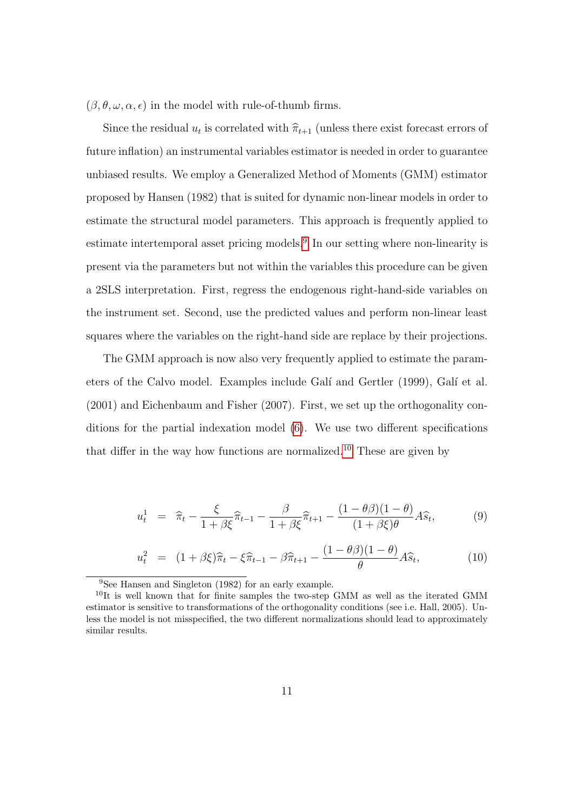$(\beta, \theta, \omega, \alpha, \epsilon)$  in the model with rule-of-thumb firms.

Since the residual  $u_t$  is correlated with  $\hat{\pi}_{t+1}$  (unless there exist forecast errors of future inflation) an instrumental variables estimator is needed in order to guarantee unbiased results. We employ a Generalized Method of Moments (GMM) estimator proposed by Hansen (1982) that is suited for dynamic non-linear models in order to estimate the structural model parameters. This approach is frequently applied to estimate intertemporal asset pricing models.[9](#page-10-0) In our setting where non-linearity is present via the parameters but not within the variables this procedure can be given a 2SLS interpretation. First, regress the endogenous right-hand-side variables on the instrument set. Second, use the predicted values and perform non-linear least squares where the variables on the right-hand side are replace by their projections.

The GMM approach is now also very frequently applied to estimate the parameters of the Calvo model. Examples include Galí and Gertler (1999), Galí et al. (2001) and Eichenbaum and Fisher (2007). First, we set up the orthogonality conditions for the partial indexation model [\(6\)](#page-6-2). We use two different specifications that differ in the way how functions are normalized.<sup>[10](#page-10-1)</sup> These are given by

<span id="page-10-2"></span>
$$
u_t^1 = \widehat{\pi}_t - \frac{\xi}{1 + \beta \xi} \widehat{\pi}_{t-1} - \frac{\beta}{1 + \beta \xi} \widehat{\pi}_{t+1} - \frac{(1 - \theta \beta)(1 - \theta)}{(1 + \beta \xi)\theta} A\widehat{s}_t, \tag{9}
$$

$$
u_t^2 = (1 + \beta \xi)\widehat{\pi}_t - \xi \widehat{\pi}_{t-1} - \beta \widehat{\pi}_{t+1} - \frac{(1 - \theta \beta)(1 - \theta)}{\theta} A\widehat{s}_t, \tag{10}
$$

<span id="page-10-1"></span><span id="page-10-0"></span><sup>9</sup>See Hansen and Singleton (1982) for an early example.

 $10$ It is well known that for finite samples the two-step GMM as well as the iterated GMM estimator is sensitive to transformations of the orthogonality conditions (see i.e. Hall, 2005). Unless the model is not misspecified, the two different normalizations should lead to approximately similar results.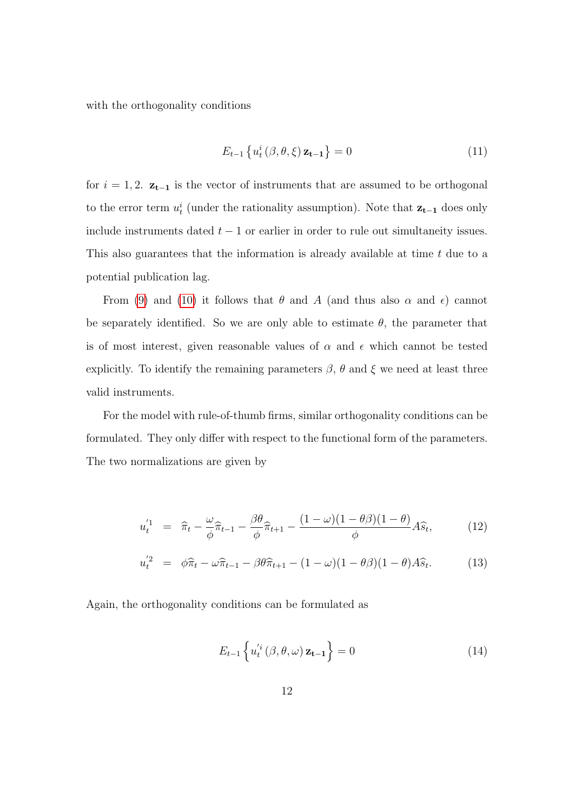with the orthogonality conditions

$$
E_{t-1}\left\{u_t^i\left(\beta,\theta,\xi\right)\mathbf{z_{t-1}}\right\}=0\tag{11}
$$

for  $i = 1, 2$ .  $z_{t-1}$  is the vector of instruments that are assumed to be orthogonal to the error term  $u_t^i$  (under the rationality assumption). Note that  $z_{t-1}$  does only include instruments dated  $t - 1$  or earlier in order to rule out simultaneity issues. This also guarantees that the information is already available at time t due to a potential publication lag.

From [\(9\)](#page-10-2) and [\(10\)](#page-10-2) it follows that  $\theta$  and A (and thus also  $\alpha$  and  $\epsilon$ ) cannot be separately identified. So we are only able to estimate  $\theta$ , the parameter that is of most interest, given reasonable values of  $\alpha$  and  $\epsilon$  which cannot be tested explicitly. To identify the remaining parameters  $\beta$ ,  $\theta$  and  $\xi$  we need at least three valid instruments.

For the model with rule-of-thumb firms, similar orthogonality conditions can be formulated. They only differ with respect to the functional form of the parameters. The two normalizations are given by

<span id="page-11-0"></span>
$$
u_t^{'1} = \hat{\pi}_t - \frac{\omega}{\phi} \hat{\pi}_{t-1} - \frac{\beta \theta}{\phi} \hat{\pi}_{t+1} - \frac{(1-\omega)(1-\theta\beta)(1-\theta)}{\phi} A\hat{s}_t, \tag{12}
$$

$$
u_t^{'2} = \phi \widehat{\pi}_t - \omega \widehat{\pi}_{t-1} - \beta \theta \widehat{\pi}_{t+1} - (1 - \omega)(1 - \theta \beta)(1 - \theta)A\widehat{s}_t.
$$
 (13)

Again, the orthogonality conditions can be formulated as

$$
E_{t-1}\left\{u_t^{i_i}(\beta,\theta,\omega)\mathbf{z_{t-1}}\right\}=0
$$
\n(14)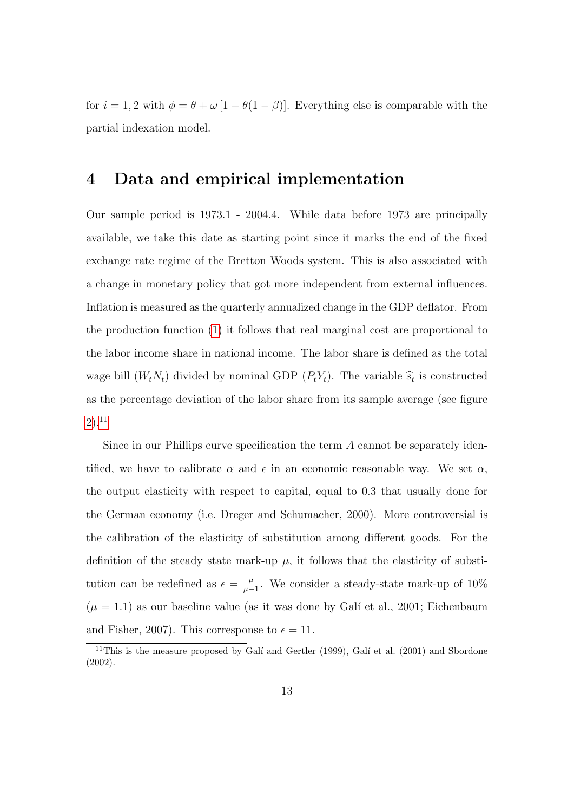for  $i = 1, 2$  with  $\phi = \theta + \omega [1 - \theta(1 - \beta)]$ . Everything else is comparable with the partial indexation model.

#### <span id="page-12-1"></span>4 Data and empirical implementation

Our sample period is 1973.1 - 2004.4. While data before 1973 are principally available, we take this date as starting point since it marks the end of the fixed exchange rate regime of the Bretton Woods system. This is also associated with a change in monetary policy that got more independent from external influences. Inflation is measured as the quarterly annualized change in the GDP deflator. From the production function [\(1\)](#page-4-3) it follows that real marginal cost are proportional to the labor income share in national income. The labor share is defined as the total wage bill  $(W_t N_t)$  divided by nominal GDP  $(P_t Y_t)$ . The variable  $\hat{s}_t$  is constructed as the percentage deviation of the labor share from its sample average (see figure [2\)](#page-32-0).[11](#page-12-0)

Since in our Phillips curve specification the term A cannot be separately identified, we have to calibrate  $\alpha$  and  $\epsilon$  in an economic reasonable way. We set  $\alpha$ , the output elasticity with respect to capital, equal to 0.3 that usually done for the German economy (i.e. Dreger and Schumacher, 2000). More controversial is the calibration of the elasticity of substitution among different goods. For the definition of the steady state mark-up  $\mu$ , it follows that the elasticity of substitution can be redefined as  $\epsilon = \frac{\mu}{\mu}$  $\frac{\mu}{\mu-1}$ . We consider a steady-state mark-up of 10%  $(\mu = 1.1)$  as our baseline value (as it was done by Galí et al., 2001; Eichenbaum and Fisher, 2007). This corresponse to  $\epsilon = 11$ .

<span id="page-12-0"></span><sup>&</sup>lt;sup>11</sup>This is the measure proposed by Galí and Gertler (1999), Galí et al. (2001) and Sbordone (2002).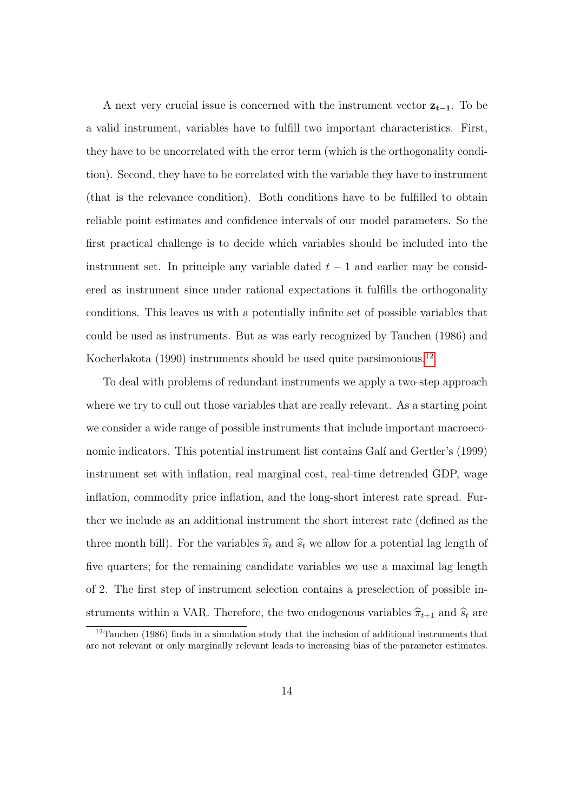A next very crucial issue is concerned with the instrument vector  $z_{t-1}$ . To be a valid instrument, variables have to fulfill two important characteristics. First, they have to be uncorrelated with the error term (which is the orthogonality condition). Second, they have to be correlated with the variable they have to instrument (that is the relevance condition). Both conditions have to be fulfilled to obtain reliable point estimates and confidence intervals of our model parameters. So the first practical challenge is to decide which variables should be included into the instrument set. In principle any variable dated  $t - 1$  and earlier may be considered as instrument since under rational expectations it fulfills the orthogonality conditions. This leaves us with a potentially infinite set of possible variables that could be used as instruments. But as was early recognized by Tauchen (1986) and Kocherlakota (1990) instruments should be used quite parsimonious.[12](#page-13-0)

To deal with problems of redundant instruments we apply a two-step approach where we try to cull out those variables that are really relevant. As a starting point we consider a wide range of possible instruments that include important macroeconomic indicators. This potential instrument list contains Galí and Gertler's (1999) instrument set with inflation, real marginal cost, real-time detrended GDP, wage inflation, commodity price inflation, and the long-short interest rate spread. Further we include as an additional instrument the short interest rate (defined as the three month bill). For the variables  $\hat{\pi}_t$  and  $\hat{s}_t$  we allow for a potential lag length of five quarters; for the remaining candidate variables we use a maximal lag length of 2. The first step of instrument selection contains a preselection of possible instruments within a VAR. Therefore, the two endogenous variables  $\hat{\pi}_{t+1}$  and  $\hat{s}_t$  are

<span id="page-13-0"></span> $12$ Tauchen (1986) finds in a simulation study that the inclusion of additional instruments that are not relevant or only marginally relevant leads to increasing bias of the parameter estimates.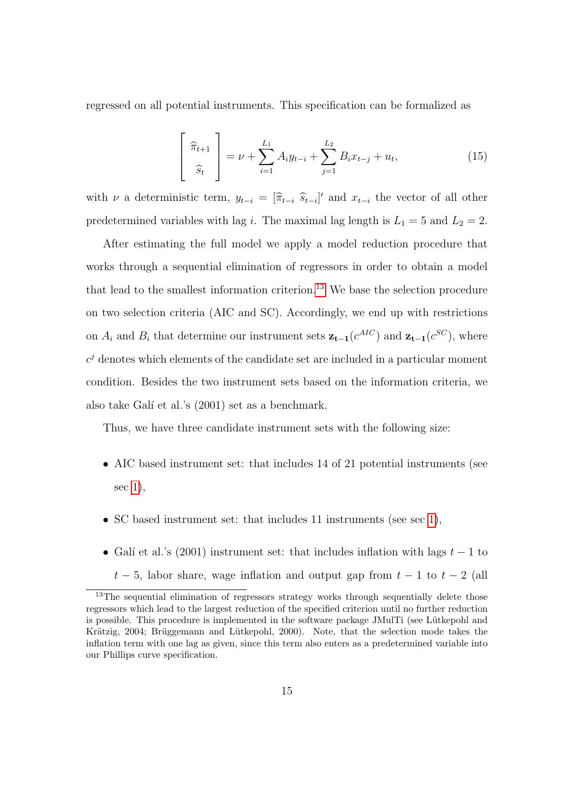regressed on all potential instruments. This specification can be formalized as

$$
\begin{bmatrix} \hat{\pi}_{t+1} \\ \hat{s}_t \end{bmatrix} = \nu + \sum_{i=1}^{L_1} A_i y_{t-i} + \sum_{j=1}^{L_2} B_i x_{t-j} + u_t, \qquad (15)
$$

with  $\nu$  a deterministic term,  $y_{t-i} = [\hat{\pi}_{t-i} \hat{s}_{t-i}]'$  and  $x_{t-i}$  the vector of all other predetermined variables with lag *i*. The maximal lag length is  $L_1 = 5$  and  $L_2 = 2$ .

After estimating the full model we apply a model reduction procedure that works through a sequential elimination of regressors in order to obtain a model that lead to the smallest information criterion.[13](#page-14-0) We base the selection procedure on two selection criteria (AIC and SC). Accordingly, we end up with restrictions on  $A_i$  and  $B_i$  that determine our instrument sets  $z_{t-1}(c^{AIC})$  and  $z_{t-1}(c^{SC})$ , where  $c<sup>j</sup>$  denotes which elements of the candidate set are included in a particular moment condition. Besides the two instrument sets based on the information criteria, we also take Galí et al.'s  $(2001)$  set as a benchmark.

Thus, we have three candidate instrument sets with the following size:

- AIC based instrument set: that includes 14 of 21 potential instruments (see sec [1\)](#page-33-0),
- SC based instrument set: that includes 11 instruments (see sec [1\)](#page-33-0),
- Galí et al.'s (2001) instrument set: that includes inflation with lags  $t 1$  to  $t-5$ , labor share, wage inflation and output gap from  $t-1$  to  $t-2$  (all

our Phillips curve specification.

<span id="page-14-0"></span> $13$ The sequential elimination of regressors strategy works through sequentially delete those regressors which lead to the largest reduction of the specified criterion until no further reduction is possible. This procedure is implemented in the software package JMulTi (see Lütkepohl and Krätzig, 2004; Brüggemann and Lütkepohl, 2000). Note, that the selection mode takes the inflation term with one lag as given, since this term also enters as a predetermined variable into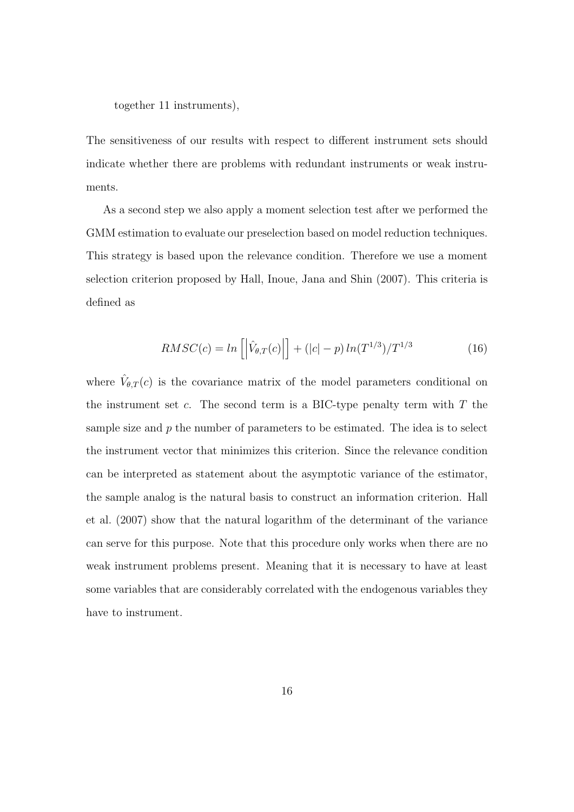together 11 instruments),

The sensitiveness of our results with respect to different instrument sets should indicate whether there are problems with redundant instruments or weak instruments.

As a second step we also apply a moment selection test after we performed the GMM estimation to evaluate our preselection based on model reduction techniques. This strategy is based upon the relevance condition. Therefore we use a moment selection criterion proposed by Hall, Inoue, Jana and Shin (2007). This criteria is defined as

$$
RMSC(c) = \ln\left[ \left| \hat{V}_{\theta,T}(c) \right| \right] + (|c| - p) \ln(T^{1/3})/T^{1/3}
$$
 (16)

where  $\hat{V}_{\theta,T}(c)$  is the covariance matrix of the model parameters conditional on the instrument set  $c$ . The second term is a BIC-type penalty term with  $T$  the sample size and  $p$  the number of parameters to be estimated. The idea is to select the instrument vector that minimizes this criterion. Since the relevance condition can be interpreted as statement about the asymptotic variance of the estimator, the sample analog is the natural basis to construct an information criterion. Hall et al. (2007) show that the natural logarithm of the determinant of the variance can serve for this purpose. Note that this procedure only works when there are no weak instrument problems present. Meaning that it is necessary to have at least some variables that are considerably correlated with the endogenous variables they have to instrument.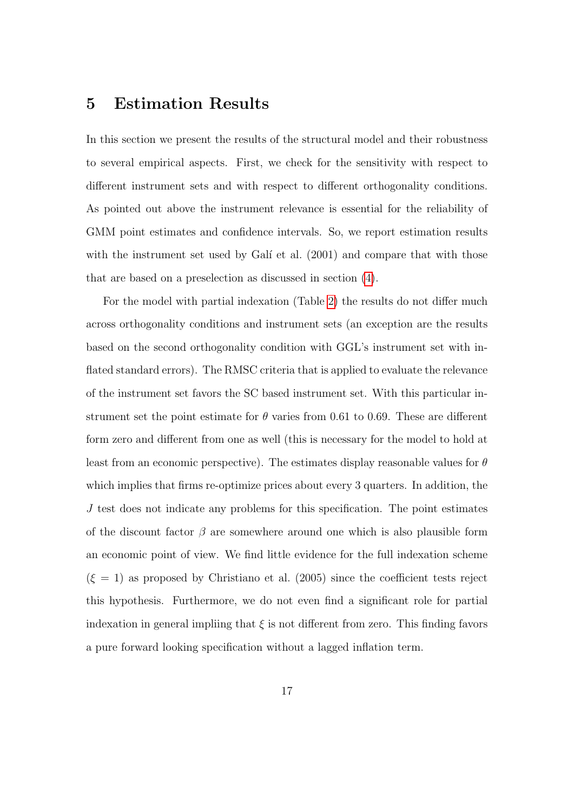### 5 Estimation Results

In this section we present the results of the structural model and their robustness to several empirical aspects. First, we check for the sensitivity with respect to different instrument sets and with respect to different orthogonality conditions. As pointed out above the instrument relevance is essential for the reliability of GMM point estimates and confidence intervals. So, we report estimation results with the instrument set used by Galí et al.  $(2001)$  and compare that with those that are based on a preselection as discussed in section [\(4\)](#page-12-1).

For the model with partial indexation (Table [2\)](#page-34-0) the results do not differ much across orthogonality conditions and instrument sets (an exception are the results based on the second orthogonality condition with GGL's instrument set with inflated standard errors). The RMSC criteria that is applied to evaluate the relevance of the instrument set favors the SC based instrument set. With this particular instrument set the point estimate for  $\theta$  varies from 0.61 to 0.69. These are different form zero and different from one as well (this is necessary for the model to hold at least from an economic perspective). The estimates display reasonable values for  $\theta$ which implies that firms re-optimize prices about every 3 quarters. In addition, the J test does not indicate any problems for this specification. The point estimates of the discount factor  $\beta$  are somewhere around one which is also plausible form an economic point of view. We find little evidence for the full indexation scheme  $(\xi = 1)$  as proposed by Christiano et al. (2005) since the coefficient tests reject this hypothesis. Furthermore, we do not even find a significant role for partial indexation in general impliing that  $\xi$  is not different from zero. This finding favors a pure forward looking specification without a lagged inflation term.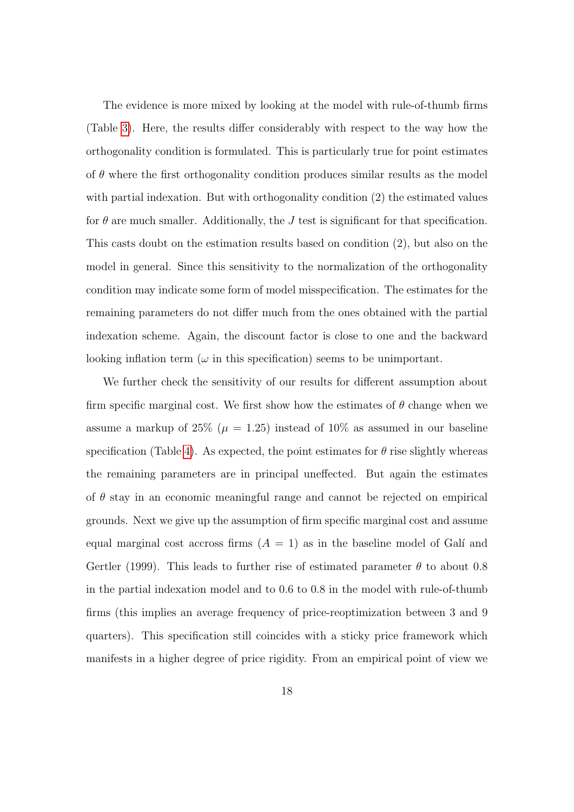The evidence is more mixed by looking at the model with rule-of-thumb firms (Table [3\)](#page-35-0). Here, the results differ considerably with respect to the way how the orthogonality condition is formulated. This is particularly true for point estimates of  $\theta$  where the first orthogonality condition produces similar results as the model with partial indexation. But with orthogonality condition (2) the estimated values for  $\theta$  are much smaller. Additionally, the J test is significant for that specification. This casts doubt on the estimation results based on condition (2), but also on the model in general. Since this sensitivity to the normalization of the orthogonality condition may indicate some form of model misspecification. The estimates for the remaining parameters do not differ much from the ones obtained with the partial indexation scheme. Again, the discount factor is close to one and the backward looking inflation term ( $\omega$  in this specification) seems to be unimportant.

We further check the sensitivity of our results for different assumption about firm specific marginal cost. We first show how the estimates of  $\theta$  change when we assume a markup of 25% ( $\mu = 1.25$ ) instead of 10% as assumed in our baseline specification (Table [4\)](#page-35-1). As expected, the point estimates for  $\theta$  rise slightly whereas the remaining parameters are in principal uneffected. But again the estimates of  $\theta$  stay in an economic meaningful range and cannot be rejected on empirical grounds. Next we give up the assumption of firm specific marginal cost and assume equal marginal cost accross firms  $(A = 1)$  as in the baseline model of Galí and Gertler (1999). This leads to further rise of estimated parameter  $\theta$  to about 0.8 in the partial indexation model and to 0.6 to 0.8 in the model with rule-of-thumb firms (this implies an average frequency of price-reoptimization between 3 and 9 quarters). This specification still coincides with a sticky price framework which manifests in a higher degree of price rigidity. From an empirical point of view we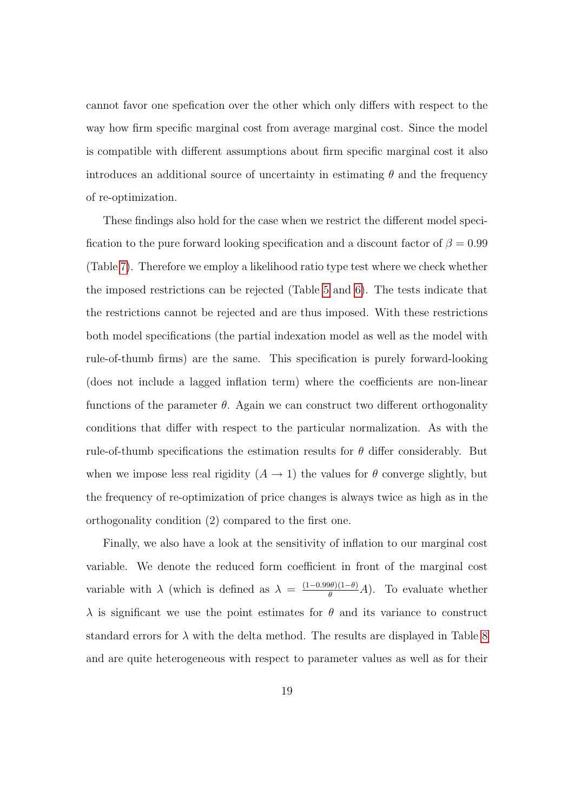cannot favor one spefication over the other which only differs with respect to the way how firm specific marginal cost from average marginal cost. Since the model is compatible with different assumptions about firm specific marginal cost it also introduces an additional source of uncertainty in estimating  $\theta$  and the frequency of re-optimization.

These findings also hold for the case when we restrict the different model specification to the pure forward looking specification and a discount factor of  $\beta = 0.99$ (Table [7\)](#page-36-0). Therefore we employ a likelihood ratio type test where we check whether the imposed restrictions can be rejected (Table [5](#page-36-1) and [6\)](#page-36-2). The tests indicate that the restrictions cannot be rejected and are thus imposed. With these restrictions both model specifications (the partial indexation model as well as the model with rule-of-thumb firms) are the same. This specification is purely forward-looking (does not include a lagged inflation term) where the coefficients are non-linear functions of the parameter  $\theta$ . Again we can construct two different orthogonality conditions that differ with respect to the particular normalization. As with the rule-of-thumb specifications the estimation results for  $\theta$  differ considerably. But when we impose less real rigidity  $(A \rightarrow 1)$  the values for  $\theta$  converge slightly, but the frequency of re-optimization of price changes is always twice as high as in the orthogonality condition (2) compared to the first one.

Finally, we also have a look at the sensitivity of inflation to our marginal cost variable. We denote the reduced form coefficient in front of the marginal cost variable with  $\lambda$  (which is defined as  $\lambda = \frac{(1-0.99\theta)(1-\theta)}{\theta}A$ ). To evaluate whether  $\lambda$  is significant we use the point estimates for  $\theta$  and its variance to construct standard errors for  $\lambda$  with the delta method. The results are displayed in Table [8](#page-36-3) and are quite heterogeneous with respect to parameter values as well as for their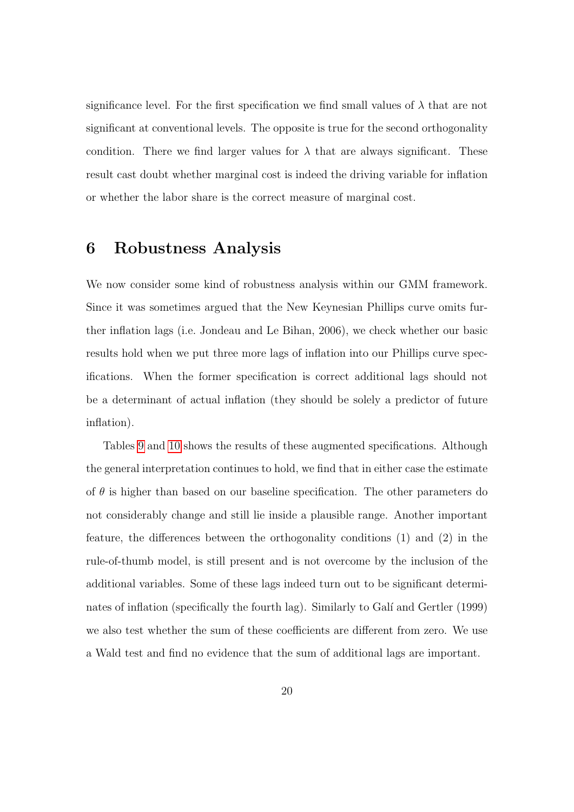significance level. For the first specification we find small values of  $\lambda$  that are not significant at conventional levels. The opposite is true for the second orthogonality condition. There we find larger values for  $\lambda$  that are always significant. These result cast doubt whether marginal cost is indeed the driving variable for inflation or whether the labor share is the correct measure of marginal cost.

#### 6 Robustness Analysis

We now consider some kind of robustness analysis within our GMM framework. Since it was sometimes argued that the New Keynesian Phillips curve omits further inflation lags (i.e. Jondeau and Le Bihan, 2006), we check whether our basic results hold when we put three more lags of inflation into our Phillips curve specifications. When the former specification is correct additional lags should not be a determinant of actual inflation (they should be solely a predictor of future inflation).

Tables [9](#page-37-0) and [10](#page-37-1) shows the results of these augmented specifications. Although the general interpretation continues to hold, we find that in either case the estimate of  $\theta$  is higher than based on our baseline specification. The other parameters do not considerably change and still lie inside a plausible range. Another important feature, the differences between the orthogonality conditions (1) and (2) in the rule-of-thumb model, is still present and is not overcome by the inclusion of the additional variables. Some of these lags indeed turn out to be significant determinates of inflation (specifically the fourth lag). Similarly to Galí and Gertler (1999) we also test whether the sum of these coefficients are different from zero. We use a Wald test and find no evidence that the sum of additional lags are important.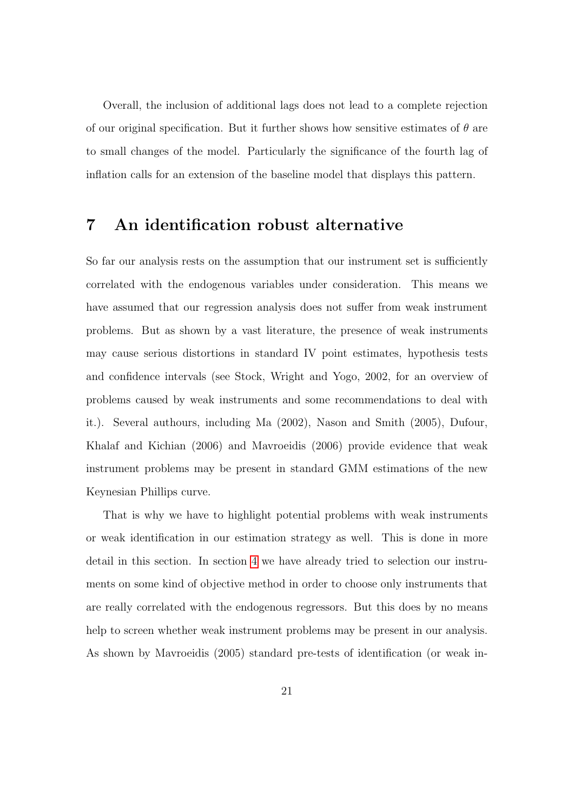Overall, the inclusion of additional lags does not lead to a complete rejection of our original specification. But it further shows how sensitive estimates of  $\theta$  are to small changes of the model. Particularly the significance of the fourth lag of inflation calls for an extension of the baseline model that displays this pattern.

#### 7 An identification robust alternative

So far our analysis rests on the assumption that our instrument set is sufficiently correlated with the endogenous variables under consideration. This means we have assumed that our regression analysis does not suffer from weak instrument problems. But as shown by a vast literature, the presence of weak instruments may cause serious distortions in standard IV point estimates, hypothesis tests and confidence intervals (see Stock, Wright and Yogo, 2002, for an overview of problems caused by weak instruments and some recommendations to deal with it.). Several authours, including Ma (2002), Nason and Smith (2005), Dufour, Khalaf and Kichian (2006) and Mavroeidis (2006) provide evidence that weak instrument problems may be present in standard GMM estimations of the new Keynesian Phillips curve.

That is why we have to highlight potential problems with weak instruments or weak identification in our estimation strategy as well. This is done in more detail in this section. In section [4](#page-12-1) we have already tried to selection our instruments on some kind of objective method in order to choose only instruments that are really correlated with the endogenous regressors. But this does by no means help to screen whether weak instrument problems may be present in our analysis. As shown by Mavroeidis (2005) standard pre-tests of identification (or weak in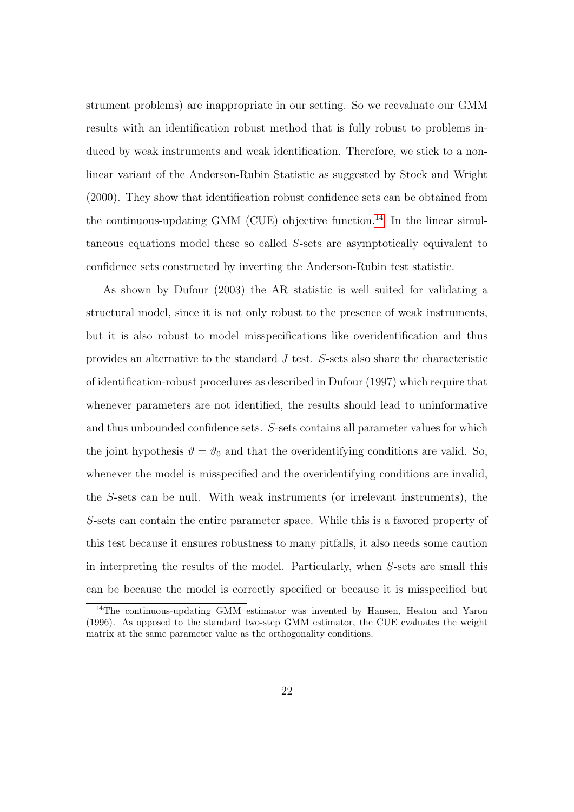strument problems) are inappropriate in our setting. So we reevaluate our GMM results with an identification robust method that is fully robust to problems induced by weak instruments and weak identification. Therefore, we stick to a nonlinear variant of the Anderson-Rubin Statistic as suggested by Stock and Wright (2000). They show that identification robust confidence sets can be obtained from the continuous-updating GMM (CUE) objective function.<sup>[14](#page-21-0)</sup> In the linear simultaneous equations model these so called S-sets are asymptotically equivalent to confidence sets constructed by inverting the Anderson-Rubin test statistic.

As shown by Dufour (2003) the AR statistic is well suited for validating a structural model, since it is not only robust to the presence of weak instruments, but it is also robust to model misspecifications like overidentification and thus provides an alternative to the standard J test. S-sets also share the characteristic of identification-robust procedures as described in Dufour (1997) which require that whenever parameters are not identified, the results should lead to uninformative and thus unbounded confidence sets. S-sets contains all parameter values for which the joint hypothesis  $\vartheta = \vartheta_0$  and that the overidentifying conditions are valid. So, whenever the model is misspecified and the overidentifying conditions are invalid, the S-sets can be null. With weak instruments (or irrelevant instruments), the S-sets can contain the entire parameter space. While this is a favored property of this test because it ensures robustness to many pitfalls, it also needs some caution in interpreting the results of the model. Particularly, when S-sets are small this can be because the model is correctly specified or because it is misspecified but

<span id="page-21-0"></span><sup>&</sup>lt;sup>14</sup>The continuous-updating GMM estimator was invented by Hansen, Heaton and Yaron (1996). As opposed to the standard two-step GMM estimator, the CUE evaluates the weight matrix at the same parameter value as the orthogonality conditions.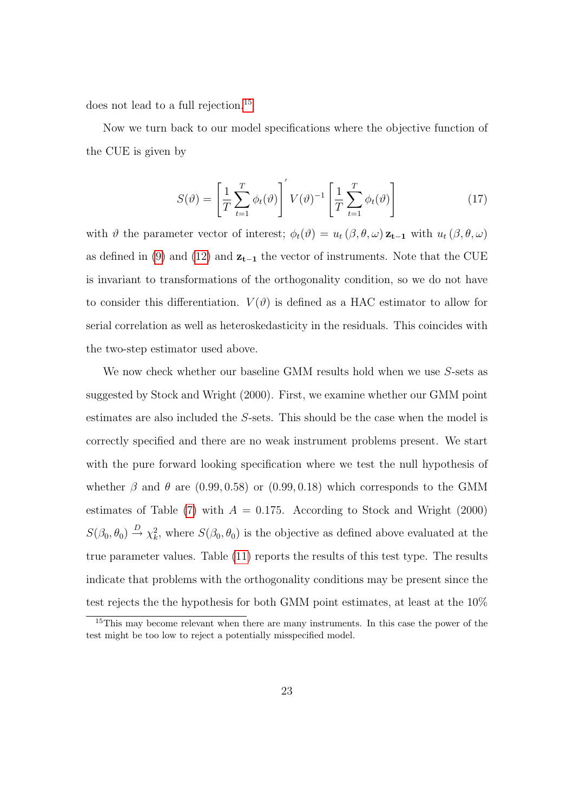does not lead to a full rejection.[15](#page-22-0)

Now we turn back to our model specifications where the objective function of the CUE is given by

$$
S(\vartheta) = \left[\frac{1}{T} \sum_{t=1}^{T} \phi_t(\vartheta)\right]' V(\vartheta)^{-1} \left[\frac{1}{T} \sum_{t=1}^{T} \phi_t(\vartheta)\right]
$$
(17)

with  $\vartheta$  the parameter vector of interest;  $\phi_t(\vartheta) = u_t(\beta, \theta, \omega) \mathbf{z}_{t-1}$  with  $u_t(\beta, \theta, \omega)$ as defined in [\(9\)](#page-10-2) and [\(12\)](#page-11-0) and  $z_{t-1}$  the vector of instruments. Note that the CUE is invariant to transformations of the orthogonality condition, so we do not have to consider this differentiation.  $V(\vartheta)$  is defined as a HAC estimator to allow for serial correlation as well as heteroskedasticity in the residuals. This coincides with the two-step estimator used above.

We now check whether our baseline GMM results hold when we use S-sets as suggested by Stock and Wright (2000). First, we examine whether our GMM point estimates are also included the S-sets. This should be the case when the model is correctly specified and there are no weak instrument problems present. We start with the pure forward looking specification where we test the null hypothesis of whether  $\beta$  and  $\theta$  are (0.99, 0.58) or (0.99, 0.18) which corresponds to the GMM estimates of Table [\(7\)](#page-36-0) with  $A = 0.175$ . According to Stock and Wright (2000)  $S(\beta_0, \theta_0) \stackrel{D}{\rightarrow} \chi^2_k$ , where  $S(\beta_0, \theta_0)$  is the objective as defined above evaluated at the true parameter values. Table [\(11\)](#page-37-2) reports the results of this test type. The results indicate that problems with the orthogonality conditions may be present since the test rejects the the hypothesis for both GMM point estimates, at least at the 10%

<span id="page-22-0"></span><sup>15</sup>This may become relevant when there are many instruments. In this case the power of the test might be too low to reject a potentially misspecified model.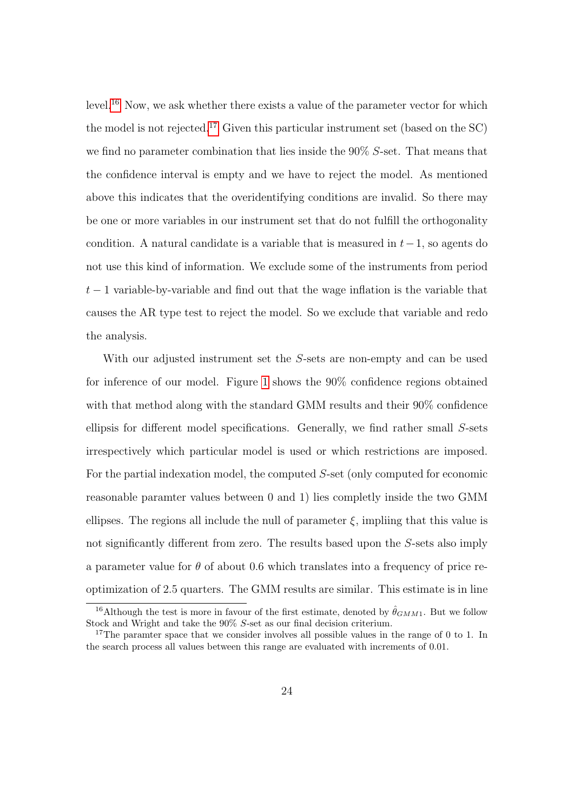level.<sup>[16](#page-23-0)</sup> Now, we ask whether there exists a value of the parameter vector for which the model is not rejected.<sup>[17](#page-23-1)</sup> Given this particular instrument set (based on the  $SC$ ) we find no parameter combination that lies inside the 90% S-set. That means that the confidence interval is empty and we have to reject the model. As mentioned above this indicates that the overidentifying conditions are invalid. So there may be one or more variables in our instrument set that do not fulfill the orthogonality condition. A natural candidate is a variable that is measured in  $t-1$ , so agents do not use this kind of information. We exclude some of the instruments from period  $t-1$  variable-by-variable and find out that the wage inflation is the variable that causes the AR type test to reject the model. So we exclude that variable and redo the analysis.

With our adjusted instrument set the S-sets are non-empty and can be used for inference of our model. Figure [1](#page-24-0) shows the 90% confidence regions obtained with that method along with the standard GMM results and their  $90\%$  confidence ellipsis for different model specifications. Generally, we find rather small S-sets irrespectively which particular model is used or which restrictions are imposed. For the partial indexation model, the computed S-set (only computed for economic reasonable paramter values between 0 and 1) lies completly inside the two GMM ellipses. The regions all include the null of parameter  $\xi$ , impliing that this value is not significantly different from zero. The results based upon the S-sets also imply a parameter value for  $\theta$  of about 0.6 which translates into a frequency of price reoptimization of 2.5 quarters. The GMM results are similar. This estimate is in line

<span id="page-23-0"></span><sup>&</sup>lt;sup>16</sup>Although the test is more in favour of the first estimate, denoted by  $\hat{\theta}_{GMM1}$ . But we follow Stock and Wright and take the 90% S-set as our final decision criterium.

<span id="page-23-1"></span><sup>&</sup>lt;sup>17</sup>The paramter space that we consider involves all possible values in the range of 0 to 1. In the search process all values between this range are evaluated with increments of 0.01.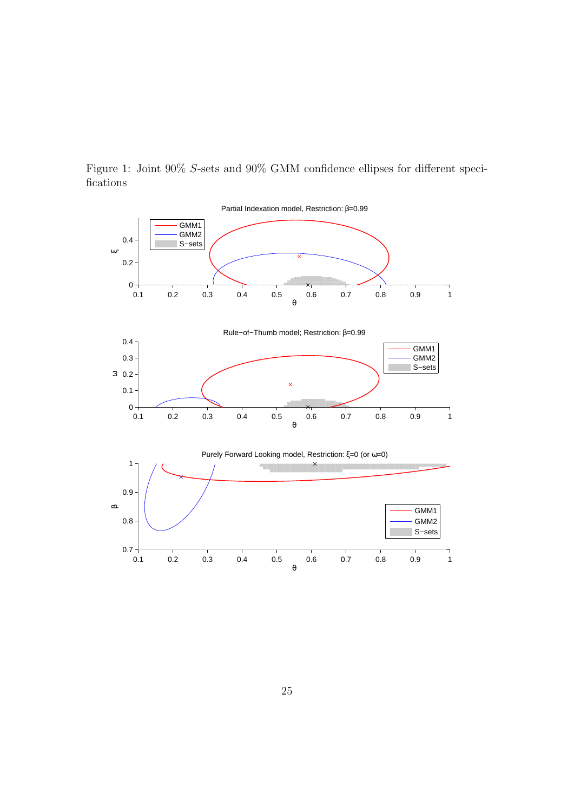

<span id="page-24-0"></span>Figure 1: Joint 90% S-sets and 90% GMM confidence ellipses for different specifications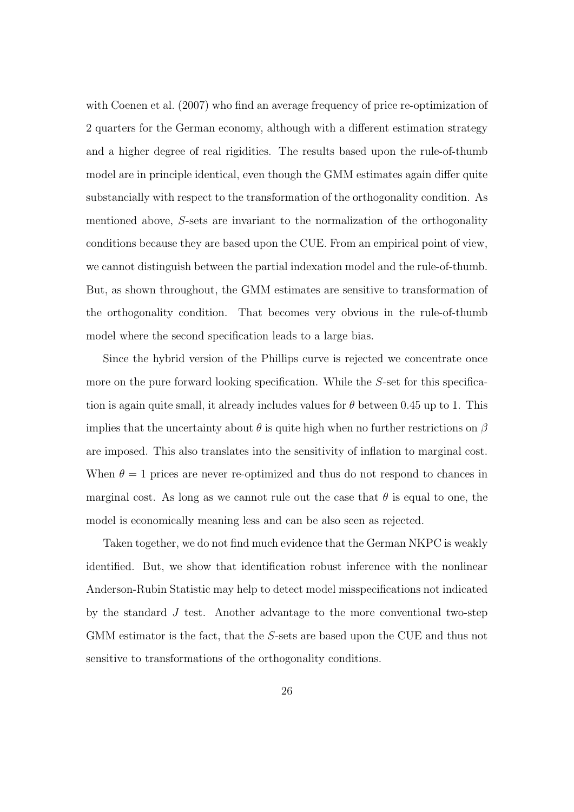with Coenen et al. (2007) who find an average frequency of price re-optimization of 2 quarters for the German economy, although with a different estimation strategy and a higher degree of real rigidities. The results based upon the rule-of-thumb model are in principle identical, even though the GMM estimates again differ quite substancially with respect to the transformation of the orthogonality condition. As mentioned above, S-sets are invariant to the normalization of the orthogonality conditions because they are based upon the CUE. From an empirical point of view, we cannot distinguish between the partial indexation model and the rule-of-thumb. But, as shown throughout, the GMM estimates are sensitive to transformation of the orthogonality condition. That becomes very obvious in the rule-of-thumb model where the second specification leads to a large bias.

Since the hybrid version of the Phillips curve is rejected we concentrate once more on the pure forward looking specification. While the S-set for this specification is again quite small, it already includes values for  $\theta$  between 0.45 up to 1. This implies that the uncertainty about  $\theta$  is quite high when no further restrictions on  $\beta$ are imposed. This also translates into the sensitivity of inflation to marginal cost. When  $\theta = 1$  prices are never re-optimized and thus do not respond to chances in marginal cost. As long as we cannot rule out the case that  $\theta$  is equal to one, the model is economically meaning less and can be also seen as rejected.

Taken together, we do not find much evidence that the German NKPC is weakly identified. But, we show that identification robust inference with the nonlinear Anderson-Rubin Statistic may help to detect model misspecifications not indicated by the standard  $J$  test. Another advantage to the more conventional two-step GMM estimator is the fact, that the S-sets are based upon the CUE and thus not sensitive to transformations of the orthogonality conditions.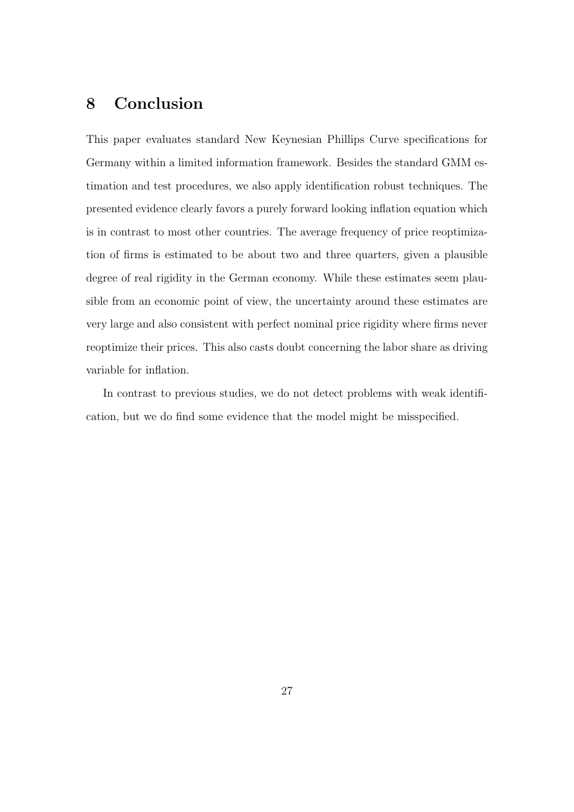## 8 Conclusion

This paper evaluates standard New Keynesian Phillips Curve specifications for Germany within a limited information framework. Besides the standard GMM estimation and test procedures, we also apply identification robust techniques. The presented evidence clearly favors a purely forward looking inflation equation which is in contrast to most other countries. The average frequency of price reoptimization of firms is estimated to be about two and three quarters, given a plausible degree of real rigidity in the German economy. While these estimates seem plausible from an economic point of view, the uncertainty around these estimates are very large and also consistent with perfect nominal price rigidity where firms never reoptimize their prices. This also casts doubt concerning the labor share as driving variable for inflation.

In contrast to previous studies, we do not detect problems with weak identification, but we do find some evidence that the model might be misspecified.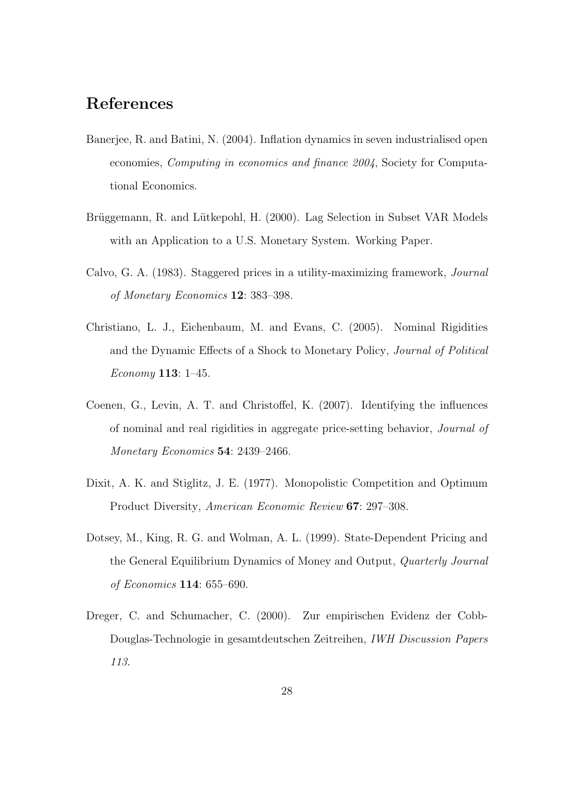## References

- Banerjee, R. and Batini, N. (2004). Inflation dynamics in seven industrialised open economies, Computing in economics and finance 2004, Society for Computational Economics.
- Brüggemann, R. and Lütkepohl, H. (2000). Lag Selection in Subset VAR Models with an Application to a U.S. Monetary System. Working Paper.
- Calvo, G. A. (1983). Staggered prices in a utility-maximizing framework, Journal of Monetary Economics 12: 383–398.
- Christiano, L. J., Eichenbaum, M. and Evans, C. (2005). Nominal Rigidities and the Dynamic Effects of a Shock to Monetary Policy, Journal of Political Economy 113: 1–45.
- Coenen, G., Levin, A. T. and Christoffel, K. (2007). Identifying the influences of nominal and real rigidities in aggregate price-setting behavior, Journal of Monetary Economics 54: 2439–2466.
- Dixit, A. K. and Stiglitz, J. E. (1977). Monopolistic Competition and Optimum Product Diversity, American Economic Review 67: 297–308.
- Dotsey, M., King, R. G. and Wolman, A. L. (1999). State-Dependent Pricing and the General Equilibrium Dynamics of Money and Output, Quarterly Journal of Economics 114: 655–690.
- Dreger, C. and Schumacher, C. (2000). Zur empirischen Evidenz der Cobb-Douglas-Technologie in gesamtdeutschen Zeitreihen, IWH Discussion Papers 113.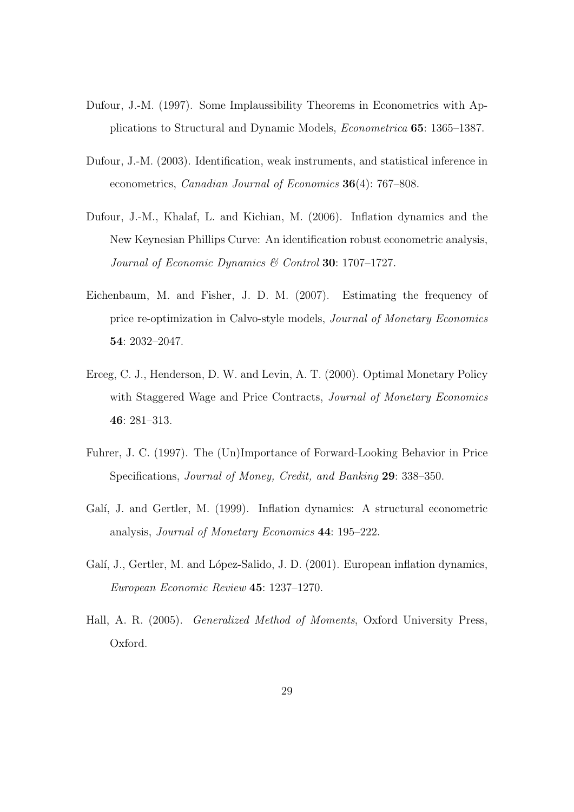- Dufour, J.-M. (1997). Some Implaussibility Theorems in Econometrics with Applications to Structural and Dynamic Models, Econometrica 65: 1365–1387.
- Dufour, J.-M. (2003). Identification, weak instruments, and statistical inference in econometrics, Canadian Journal of Economics 36(4): 767–808.
- Dufour, J.-M., Khalaf, L. and Kichian, M. (2006). Inflation dynamics and the New Keynesian Phillips Curve: An identification robust econometric analysis, Journal of Economic Dynamics & Control 30: 1707-1727.
- Eichenbaum, M. and Fisher, J. D. M. (2007). Estimating the frequency of price re-optimization in Calvo-style models, Journal of Monetary Economics 54: 2032–2047.
- Erceg, C. J., Henderson, D. W. and Levin, A. T. (2000). Optimal Monetary Policy with Staggered Wage and Price Contracts, Journal of Monetary Economics 46: 281–313.
- Fuhrer, J. C. (1997). The (Un)Importance of Forward-Looking Behavior in Price Specifications, Journal of Money, Credit, and Banking 29: 338–350.
- Galí, J. and Gertler, M. (1999). Inflation dynamics: A structural econometric analysis, Journal of Monetary Economics 44: 195–222.
- Galí, J., Gertler, M. and López-Salido, J. D. (2001). European inflation dynamics, European Economic Review 45: 1237–1270.
- Hall, A. R. (2005). Generalized Method of Moments, Oxford University Press, Oxford.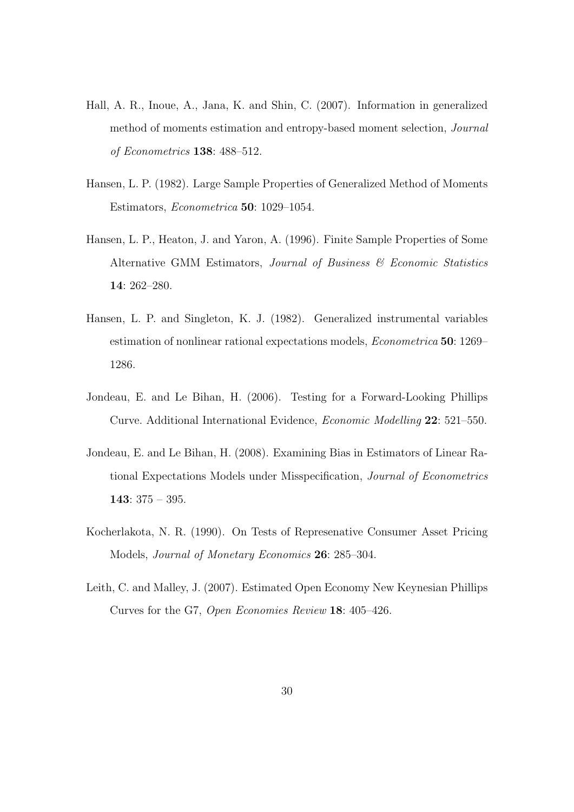- Hall, A. R., Inoue, A., Jana, K. and Shin, C. (2007). Information in generalized method of moments estimation and entropy-based moment selection, Journal of Econometrics 138: 488–512.
- Hansen, L. P. (1982). Large Sample Properties of Generalized Method of Moments Estimators, Econometrica 50: 1029–1054.
- Hansen, L. P., Heaton, J. and Yaron, A. (1996). Finite Sample Properties of Some Alternative GMM Estimators, Journal of Business & Economic Statistics 14: 262–280.
- Hansen, L. P. and Singleton, K. J. (1982). Generalized instrumental variables estimation of nonlinear rational expectations models, Econometrica 50: 1269– 1286.
- Jondeau, E. and Le Bihan, H. (2006). Testing for a Forward-Looking Phillips Curve. Additional International Evidence, Economic Modelling 22: 521–550.
- Jondeau, E. and Le Bihan, H. (2008). Examining Bias in Estimators of Linear Rational Expectations Models under Misspecification, Journal of Econometrics 143:  $375 - 395$ .
- Kocherlakota, N. R. (1990). On Tests of Represenative Consumer Asset Pricing Models, Journal of Monetary Economics 26: 285–304.
- Leith, C. and Malley, J. (2007). Estimated Open Economy New Keynesian Phillips Curves for the G7, Open Economies Review 18: 405–426.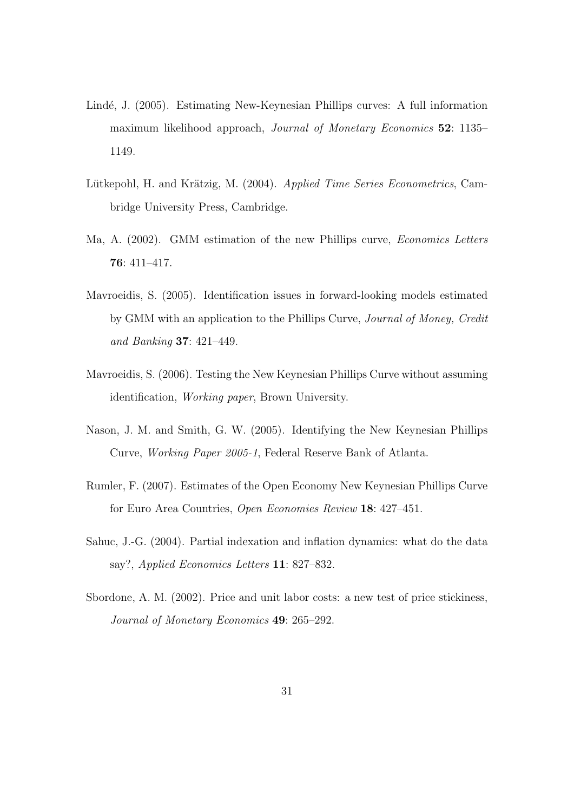- Lindé, J. (2005). Estimating New-Keynesian Phillips curves: A full information maximum likelihood approach, Journal of Monetary Economics 52: 1135– 1149.
- Lütkepohl, H. and Krätzig, M. (2004). Applied Time Series Econometrics, Cambridge University Press, Cambridge.
- Ma, A. (2002). GMM estimation of the new Phillips curve, *Economics Letters* 76: 411–417.
- Mavroeidis, S. (2005). Identification issues in forward-looking models estimated by GMM with an application to the Phillips Curve, Journal of Money, Credit and Banking 37: 421–449.
- Mavroeidis, S. (2006). Testing the New Keynesian Phillips Curve without assuming identification, Working paper, Brown University.
- Nason, J. M. and Smith, G. W. (2005). Identifying the New Keynesian Phillips Curve, Working Paper 2005-1, Federal Reserve Bank of Atlanta.
- Rumler, F. (2007). Estimates of the Open Economy New Keynesian Phillips Curve for Euro Area Countries, Open Economies Review 18: 427–451.
- Sahuc, J.-G. (2004). Partial indexation and inflation dynamics: what do the data say?, Applied Economics Letters 11: 827–832.
- Sbordone, A. M. (2002). Price and unit labor costs: a new test of price stickiness, Journal of Monetary Economics 49: 265–292.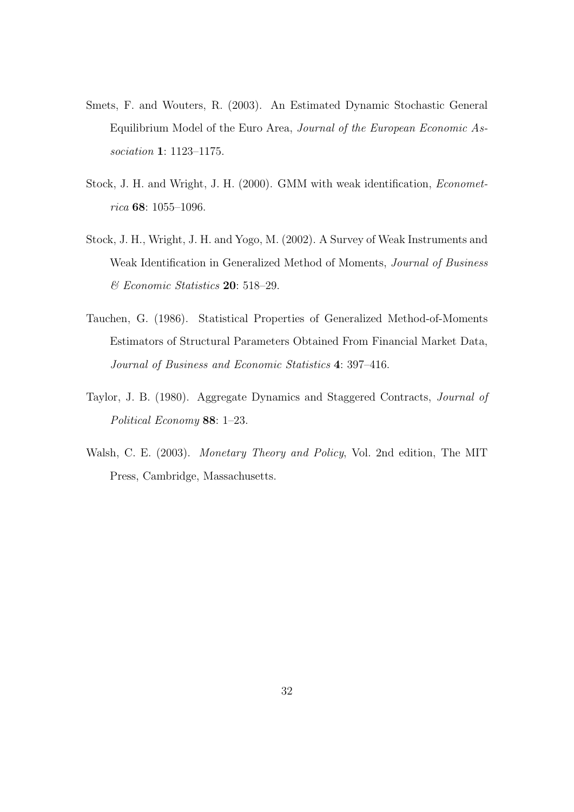- Smets, F. and Wouters, R. (2003). An Estimated Dynamic Stochastic General Equilibrium Model of the Euro Area, Journal of the European Economic Association 1: 1123–1175.
- Stock, J. H. and Wright, J. H. (2000). GMM with weak identification, Econometrica 68: 1055–1096.
- Stock, J. H., Wright, J. H. and Yogo, M. (2002). A Survey of Weak Instruments and Weak Identification in Generalized Method of Moments, Journal of Business & Economic Statistics 20: 518–29.
- Tauchen, G. (1986). Statistical Properties of Generalized Method-of-Moments Estimators of Structural Parameters Obtained From Financial Market Data, Journal of Business and Economic Statistics 4: 397–416.
- Taylor, J. B. (1980). Aggregate Dynamics and Staggered Contracts, Journal of Political Economy 88: 1–23.
- Walsh, C. E. (2003). Monetary Theory and Policy, Vol. 2nd edition, The MIT Press, Cambridge, Massachusetts.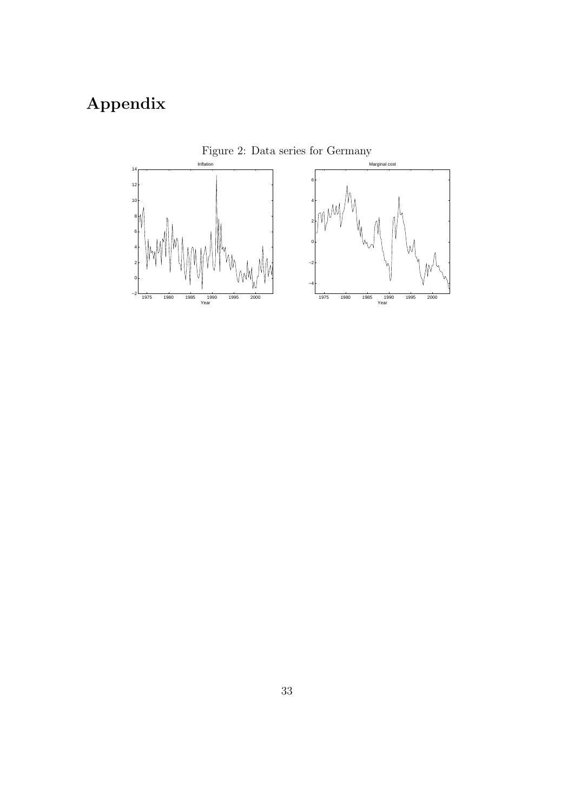# Appendix



<span id="page-32-0"></span>Figure 2: Data series for Germany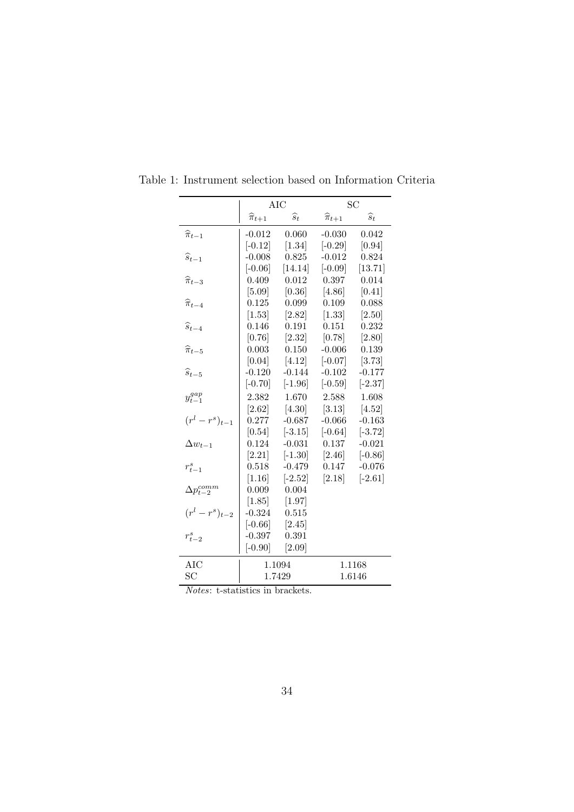<span id="page-33-0"></span>

|                         |                       | <b>AIC</b>      |                       | SC              |
|-------------------------|-----------------------|-----------------|-----------------------|-----------------|
|                         | $\widehat{\pi}_{t+1}$ | $\widehat{s}_t$ | $\widehat{\pi}_{t+1}$ | $\widehat{s}_t$ |
| $\widehat{\pi}_{t-1}$   | $-0.012$              | 0.060           | $-0.030$              | 0.042           |
|                         | $[-0.12]$             | $[1.34]$        | $[-0.29]$             | [0.94]          |
| $\widehat{s}_{t-1}$     | $-0.008$              | 0.825           | $-0.012$              | 0.824           |
|                         | $[-0.06]$             | [14.14]         | $[-0.09]$             | [13.71]         |
| $\widehat{\pi}_{t-3}$   | 0.409                 | 0.012           | 0.397                 | 0.014           |
|                         | $[5.09]$              | [0.36]          | $[4.86]$              | [0.41]          |
| $\widehat{\pi}_{t-4}$   | 0.125                 | 0.099           | 0.109                 | 0.088           |
|                         | $[1.53]$              | [2.82]          | $[1.33]$              | [2.50]          |
| $\widehat{s}_{t-4}$     | 0.146                 | 0.191           | 0.151                 | 0.232           |
|                         | [0.76]                | [2.32]          | [0.78]                | [2.80]          |
| $\widehat{\pi}_{t-5}$   | 0.003                 | 0.150           | $-0.006$              | 0.139           |
|                         | [0.04]                | [4.12]          | $[-0.07]$             | [3.73]          |
| $\widehat{s}_{t-5}$     | $-0.120$              | $-0.144$        | $-0.102$              | $-0.177$        |
|                         | $[-0.70]$             | $[-1.96]$       | $[-0.59]$             | $[-2.37]$       |
| $y_{t-1}^{gap}$         | 2.382                 | 1.670           | 2.588                 | 1.608           |
|                         | $[2.62]$              | [4.30]          | [3.13]                | [4.52]          |
| $(r^{l}-r^{s})_{t-1}$   | 0.277                 | $-0.687$        | $-0.066$              | $-0.163$        |
|                         | [0.54]                | $[-3.15]$       | $[-0.64]$             | $[-3.72]$       |
| $\Delta w_{t-1}$        | 0.124                 | $-0.031$        | 0.137                 | $-0.021$        |
|                         | [2.21]                | $[-1.30]$       | [2.46]                | $[-0.86]$       |
| $r_{t-1}^s$             | 0.518                 | $-0.479$        | 0.147                 | $-0.076$        |
|                         | [1.16]                | $[-2.52]$       | [2.18]                | $[-2.61]$       |
| $\Delta p_{t-2}^{comm}$ | 0.009                 | 0.004           |                       |                 |
|                         | [1.85]                | $[1.97]$        |                       |                 |
| $(r^{l}-r^{s})_{t-2}$   | $-0.324$              | 0.515           |                       |                 |
|                         | $[-0.66]$             | [2.45]          |                       |                 |
| $r_{t-2}^s$             | $-0.397$              | 0.391           |                       |                 |
|                         | $[-0.90]$             | [2.09]          |                       |                 |
| AIC                     |                       | 1.1094          |                       | 1.1168          |
| SC                      |                       | 1.7429          |                       | 1.6146          |
| $\overline{1}$          |                       |                 |                       |                 |

Table 1: Instrument selection based on Information Criteria

Notes: t-statistics in brackets.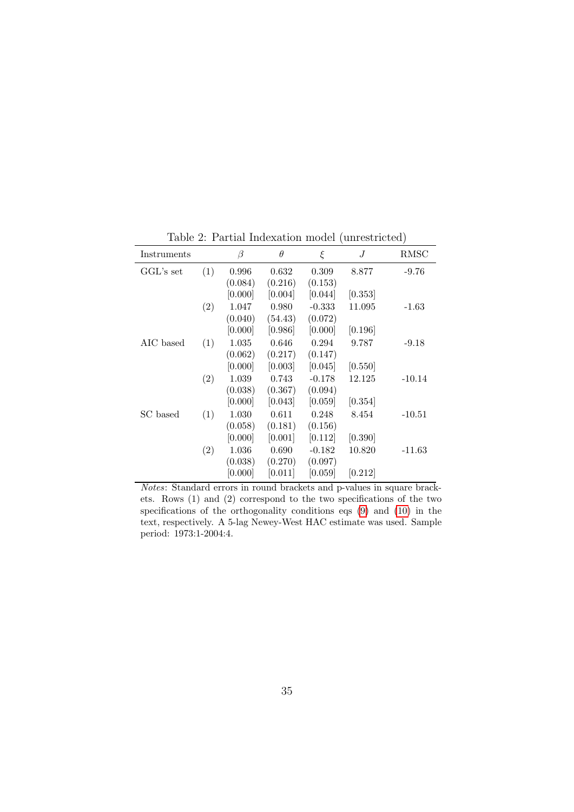| Instruments |     | $\beta$ | $\theta$ | ξ        | J       | RMSC     |
|-------------|-----|---------|----------|----------|---------|----------|
| GGL's set   | (1) | 0.996   | 0.632    | 0.309    | 8.877   | $-9.76$  |
|             |     | (0.084) | (0.216)  | (0.153)  |         |          |
|             |     | [0.000] | [0.004]  | [0.044]  | [0.353] |          |
|             | (2) | 1.047   | 0.980    | $-0.333$ | 11.095  | $-1.63$  |
|             |     | (0.040) | (54.43)  | (0.072)  |         |          |
|             |     | [0.000] | [0.986]  | [0.000]  | [0.196] |          |
| AIC based   | (1) | 1.035   | 0.646    | 0.294    | 9.787   | $-9.18$  |
|             |     | (0.062) | (0.217)  | (0.147)  |         |          |
|             |     | [0.000] | [0.003]  | [0.045]  | [0.550] |          |
|             | (2) | 1.039   | 0.743    | $-0.178$ | 12.125  | $-10.14$ |
|             |     | (0.038) | (0.367)  | (0.094)  |         |          |
|             |     | [0.000] | [0.043]  | [0.059]  | [0.354] |          |
| SC based    | (1) | 1.030   | 0.611    | 0.248    | 8.454   | $-10.51$ |
|             |     | (0.058) | (0.181)  | (0.156)  |         |          |
|             |     | [0.000] | [0.001]  | [0.112]  | [0.390] |          |
|             | (2) | 1.036   | 0.690    | $-0.182$ | 10.820  | $-11.63$ |
|             |     | (0.038) | (0.270)  | (0.097)  |         |          |
|             |     | [0.000] | [0.011]  | [0.059]  | [0.212] |          |

<span id="page-34-0"></span>Table 2: Partial Indexation model (unrestricted)

Notes: Standard errors in round brackets and p-values in square brackets. Rows (1) and (2) correspond to the two specifications of the two specifications of the orthogonality conditions eqs [\(9\)](#page-10-2) and [\(10\)](#page-10-2) in the text, respectively. A 5-lag Newey-West HAC estimate was used. Sample period: 1973:1-2004:4.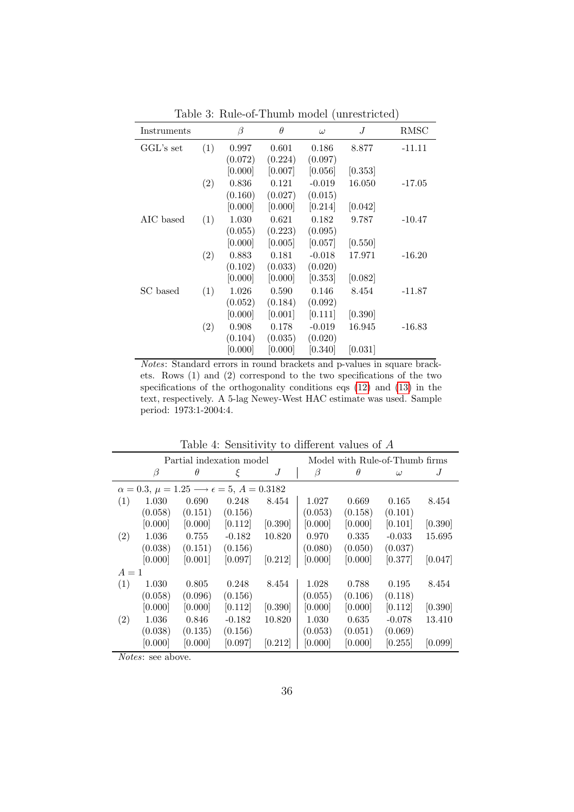| Instruments  |     | β       | $\theta$ | $\omega$ | J       | RMSC     |
|--------------|-----|---------|----------|----------|---------|----------|
| $GGL$ 's set | (1) | 0.997   | 0.601    | 0.186    | 8.877   | $-11.11$ |
|              |     | (0.072) | (0.224)  | (0.097)  |         |          |
|              |     | [0.000] | [0.007]  | [0.056]  | [0.353] |          |
|              | (2) | 0.836   | 0.121    | $-0.019$ | 16.050  | $-17.05$ |
|              |     | (0.160) | (0.027)  | (0.015)  |         |          |
|              |     | [0.000] | [0.000]  | [0.214]  | [0.042] |          |
| AIC based    | (1) | 1.030   | 0.621    | 0.182    | 9.787   | $-10.47$ |
|              |     | (0.055) | (0.223)  | (0.095)  |         |          |
|              |     | [0.000] | [0.005]  | [0.057]  | [0.550] |          |
|              | (2) | 0.883   | 0.181    | $-0.018$ | 17.971  | $-16.20$ |
|              |     | (0.102) | (0.033)  | (0.020)  |         |          |
|              |     | [0.000] | [0.000]  | [0.353]  | [0.082] |          |
| SC based     | (1) | 1.026   | 0.590    | 0.146    | 8.454   | $-11.87$ |
|              |     | (0.052) | (0.184)  | (0.092)  |         |          |
|              |     | [0.000] | [0.001]  | [0.111]  | [0.390] |          |
|              | (2) | 0.908   | 0.178    | $-0.019$ | 16.945  | $-16.83$ |
|              |     | (0.104) | (0.035)  | (0.020)  |         |          |
|              |     | [0.000] | [0.000]  | [0.340]  | [0.031] |          |

<span id="page-35-0"></span>Table 3: Rule-of-Thumb model (unrestricted)

Notes: Standard errors in round brackets and p-values in square brackets. Rows (1) and (2) correspond to the two specifications of the two specifications of the orthogonality conditions eqs [\(12\)](#page-11-0) and [\(13\)](#page-11-0) in the text, respectively. A 5-lag Newey-West HAC estimate was used. Sample period: 1973:1-2004:4.

| rasio il scholatto, to differente tandos of 11 |                                                                     |                          |          |                                |         |          |          |                |  |
|------------------------------------------------|---------------------------------------------------------------------|--------------------------|----------|--------------------------------|---------|----------|----------|----------------|--|
|                                                |                                                                     | Partial indexation model |          | Model with Rule-of-Thumb firms |         |          |          |                |  |
|                                                | β                                                                   | $\theta$                 | ξ        | J                              | $\beta$ | $\theta$ | $\omega$ | $\overline{J}$ |  |
|                                                | $\alpha = 0.3, \mu = 1.25 \longrightarrow \epsilon = 5, A = 0.3182$ |                          |          |                                |         |          |          |                |  |
| (1)                                            | 1.030                                                               | 0.690                    | 0.248    | 8.454                          | 1.027   | 0.669    | 0.165    | 8.454          |  |
|                                                | (0.058)                                                             | (0.151)                  | (0.156)  |                                | (0.053) | (0.158)  | (0.101)  |                |  |
|                                                | [0.000]                                                             | [0.000]                  | [0.112]  | [0.390]                        | [0.000] | [0.000]  | [0.101]  | [0.390]        |  |
| (2)                                            | 1.036                                                               | 0.755                    | $-0.182$ | 10.820                         | 0.970   | 0.335    | $-0.033$ | 15.695         |  |
|                                                | (0.038)                                                             | (0.151)                  | (0.156)  |                                | (0.080) | (0.050)  | (0.037)  |                |  |
|                                                | [0.000]                                                             | [0.001]                  | [0.097]  | [0.212]                        | [0.000] | [0.000]  | [0.377]  | [0.047]        |  |
| $A=1$                                          |                                                                     |                          |          |                                |         |          |          |                |  |
| (1)                                            | 1.030                                                               | 0.805                    | 0.248    | 8.454                          | 1.028   | 0.788    | 0.195    | 8.454          |  |
|                                                | (0.058)                                                             | (0.096)                  | (0.156)  |                                | (0.055) | (0.106)  | (0.118)  |                |  |
|                                                | [0.000]                                                             | [0.000]                  | [0.112]  | [0.390]                        | [0.000] | [0.000]  | [0.112]  | [0.390]        |  |
| (2)                                            | 1.036                                                               | 0.846                    | $-0.182$ | 10.820                         | 1.030   | 0.635    | $-0.078$ | 13.410         |  |
|                                                | (0.038)                                                             | (0.135)                  | (0.156)  |                                | (0.053) | (0.051)  | (0.069)  |                |  |
|                                                | [0.000]                                                             | [0.000]                  | [0.097]  | [0.212]                        | [0.000] | [0.000]  | [0.255]  | [0.099]        |  |
| $\sim$ $\sim$ $\sim$                           |                                                                     |                          |          |                                |         |          |          |                |  |

<span id="page-35-1"></span>Table 4: Sensitivity to different values of A

Notes: see above.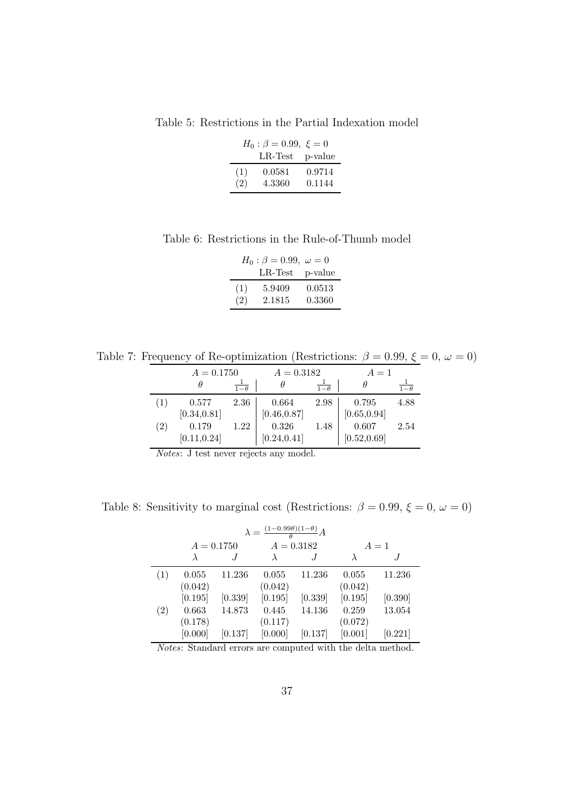Table 5: Restrictions in the Partial Indexation model

<span id="page-36-1"></span>

|     | $H_0: \beta = 0.99, \xi = 0$<br>$LR-Test$ | p-value |
|-----|-------------------------------------------|---------|
| (1) | 0.0581                                    | 0.9714  |
| (2) | 4.3360                                    | 0.1144  |

Table 6: Restrictions in the Rule-of-Thumb model

<span id="page-36-2"></span>

|     | $H_0: \beta = 0.99, \ \omega = 0$ |         |
|-----|-----------------------------------|---------|
|     | $LR$ -Test                        | p-value |
| (1) | 5.9409                            | 0.0513  |
| (2) | 2.1815                            | 0.3360  |

Table 7: Frequency of Re-optimization (Restrictions:  $\beta = 0.99, \xi = 0, \omega = 0$ )

<span id="page-36-0"></span>

|     | $A = 0.1750$ |            | $A = 0.3182$ |                       | $A=1$        |                       |
|-----|--------------|------------|--------------|-----------------------|--------------|-----------------------|
|     | θ            | $1-\theta$ |              | $\overline{1-\theta}$ |              | $\overline{1-\theta}$ |
|     | 0.577        | 2.36       | 0.664        | 2.98                  | 0.795        | 4.88                  |
|     | [0.34, 0.81] |            | [0.46, 0.87] |                       | [0.65, 0.94] |                       |
| (2) | 0.179        | 1.22       | 0.326        | 1.48                  | 0.607        | 2.54                  |
|     | [0.11, 0.24] |            | [0.24, 0.41] |                       | [0.52, 0.69] |                       |

Notes: J test never rejects any model.

Table 8: Sensitivity to marginal cost (Restrictions:  $\beta = 0.99$ ,  $\xi = 0$ ,  $\omega = 0$ )

<span id="page-36-3"></span>

| $\lambda = \frac{(1-0.99\theta)(1-\theta)}{2}A$ |              |         |              |         |         |         |  |
|-------------------------------------------------|--------------|---------|--------------|---------|---------|---------|--|
|                                                 | $A = 0.1750$ |         | $A = 0.3182$ |         |         | $A=1$   |  |
|                                                 |              |         |              |         |         |         |  |
| (1)                                             | 0.055        | 11.236  | 0.055        | 11.236  | 0.055   | 11.236  |  |
|                                                 | (0.042)      |         | (0.042)      |         | (0.042) |         |  |
|                                                 | [0.195]      | [0.339] | [0.195]      | [0.339] | [0.195] | [0.390] |  |
| $\left( 2\right)$                               | 0.663        | 14.873  | 0.445        | 14.136  | 0.259   | 13.054  |  |
|                                                 | (0.178)      |         | (0.117)      |         | (0.072) |         |  |
|                                                 | [0.000]      | [0.137] | [0.000]      | [0.137] | [0.001] | [0.221] |  |

Notes: Standard errors are computed with the delta method.